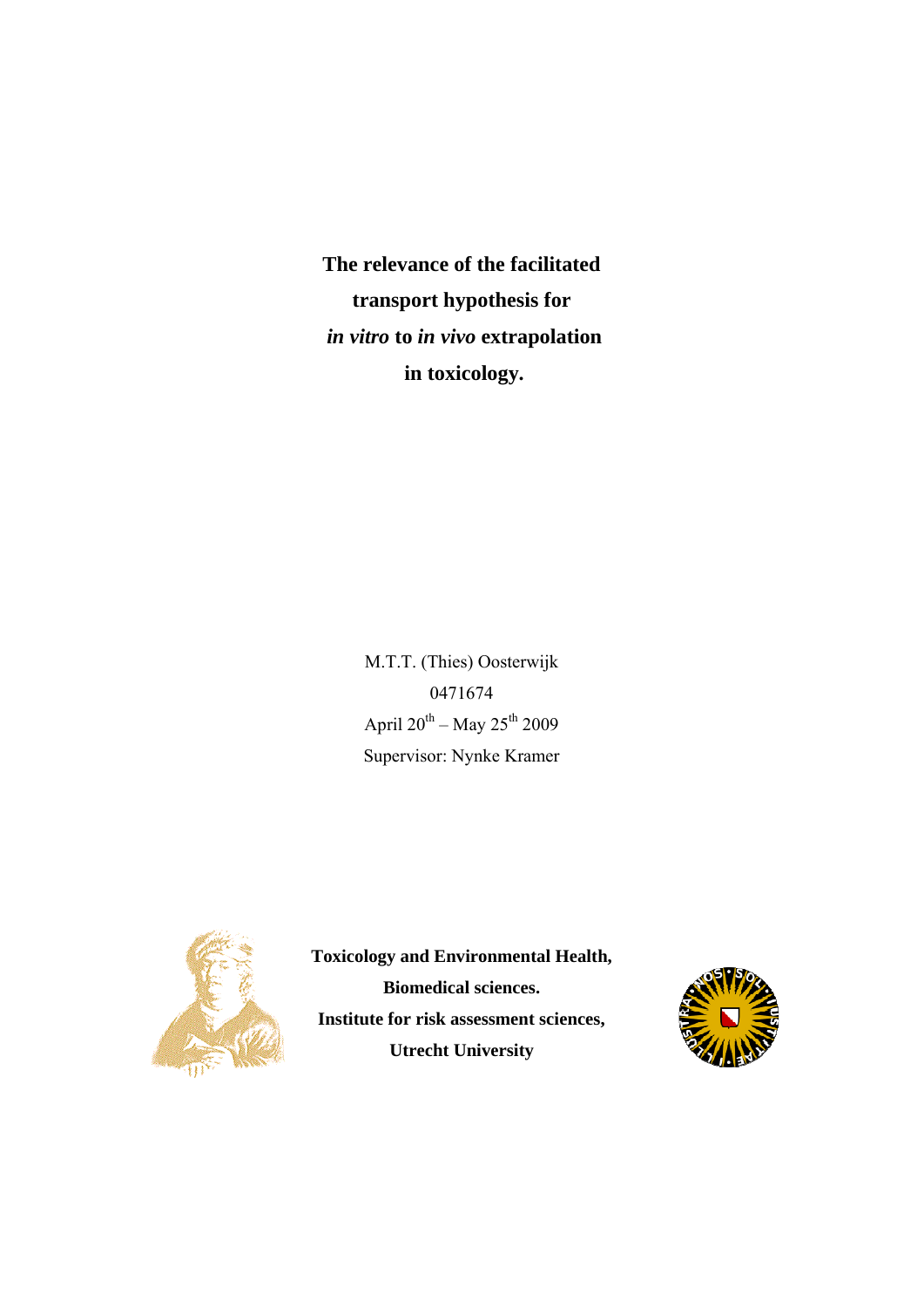**The relevance of the facilitated transport hypothesis for**  *in vitro* **to** *in vivo* **extrapolation in toxicology.**

> M.T.T. (Thies) Oosterwijk 0471674 April  $20^{th}$  – May  $25^{th}$  2009 Supervisor: Nynke Kramer



**Toxicology and Environmental Health, Biomedical sciences. Institute for risk assessment sciences, Utrecht University**

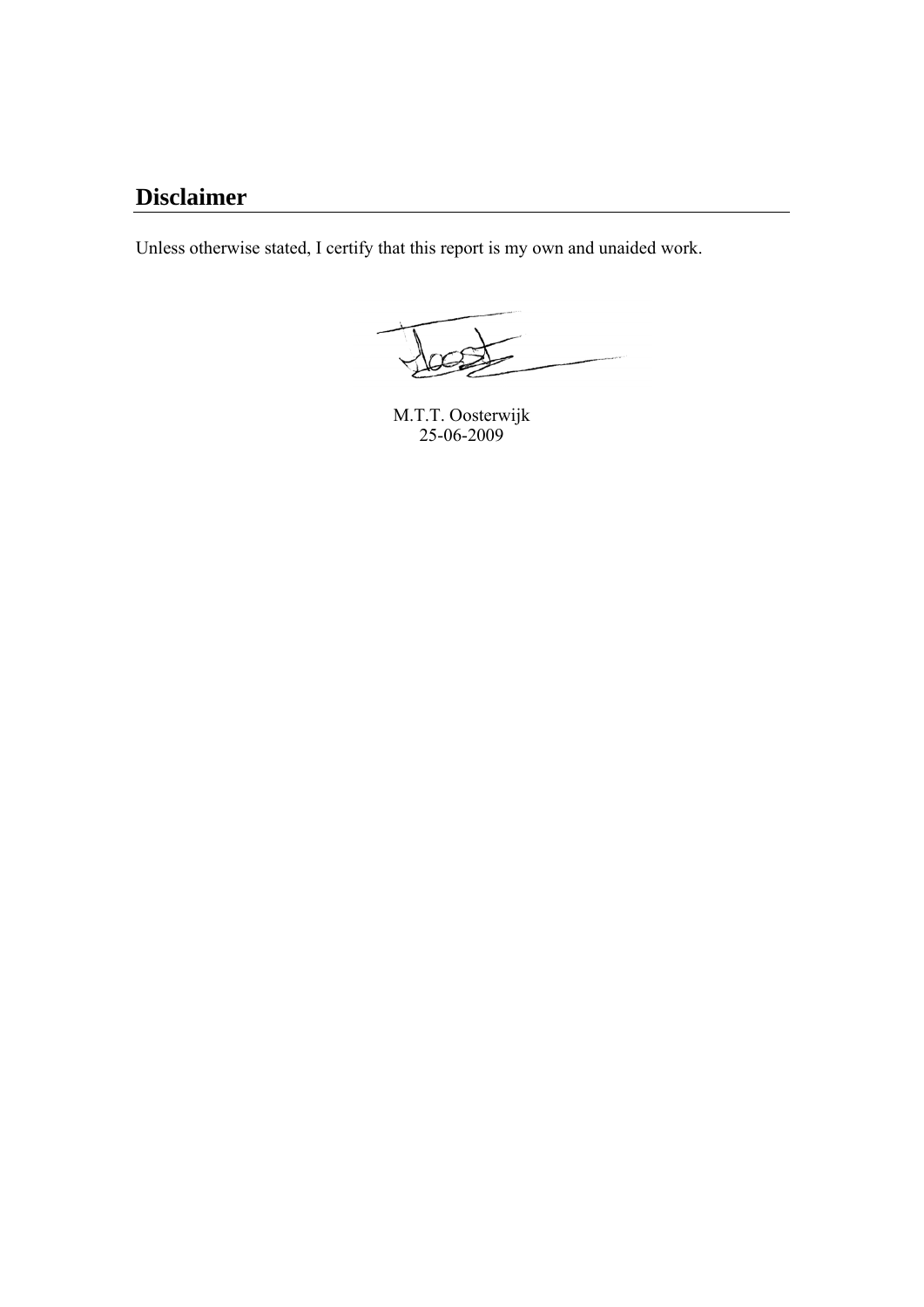# **Disclaimer**

Unless otherwise stated, I certify that this report is my own and unaided work.

M.T.T. Oosterwijk 25-06-2009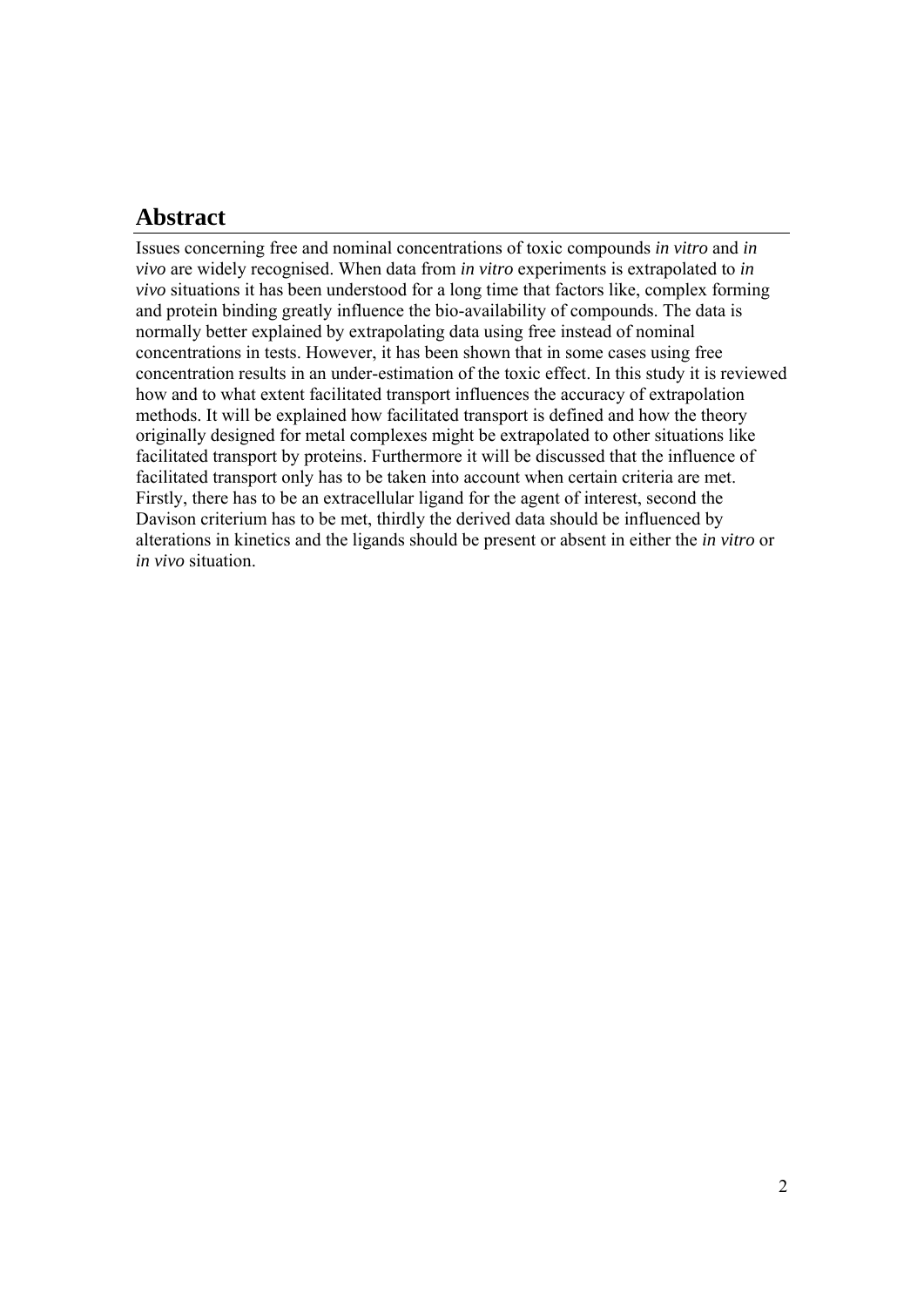# **Abstract**

Issues concerning free and nominal concentrations of toxic compounds *in vitro* and *in vivo* are widely recognised. When data from *in vitro* experiments is extrapolated to *in vivo* situations it has been understood for a long time that factors like, complex forming and protein binding greatly influence the bio-availability of compounds. The data is normally better explained by extrapolating data using free instead of nominal concentrations in tests. However, it has been shown that in some cases using free concentration results in an under-estimation of the toxic effect. In this study it is reviewed how and to what extent facilitated transport influences the accuracy of extrapolation methods. It will be explained how facilitated transport is defined and how the theory originally designed for metal complexes might be extrapolated to other situations like facilitated transport by proteins. Furthermore it will be discussed that the influence of facilitated transport only has to be taken into account when certain criteria are met. Firstly, there has to be an extracellular ligand for the agent of interest, second the Davison criterium has to be met, thirdly the derived data should be influenced by alterations in kinetics and the ligands should be present or absent in either the *in vitro* or *in vivo* situation.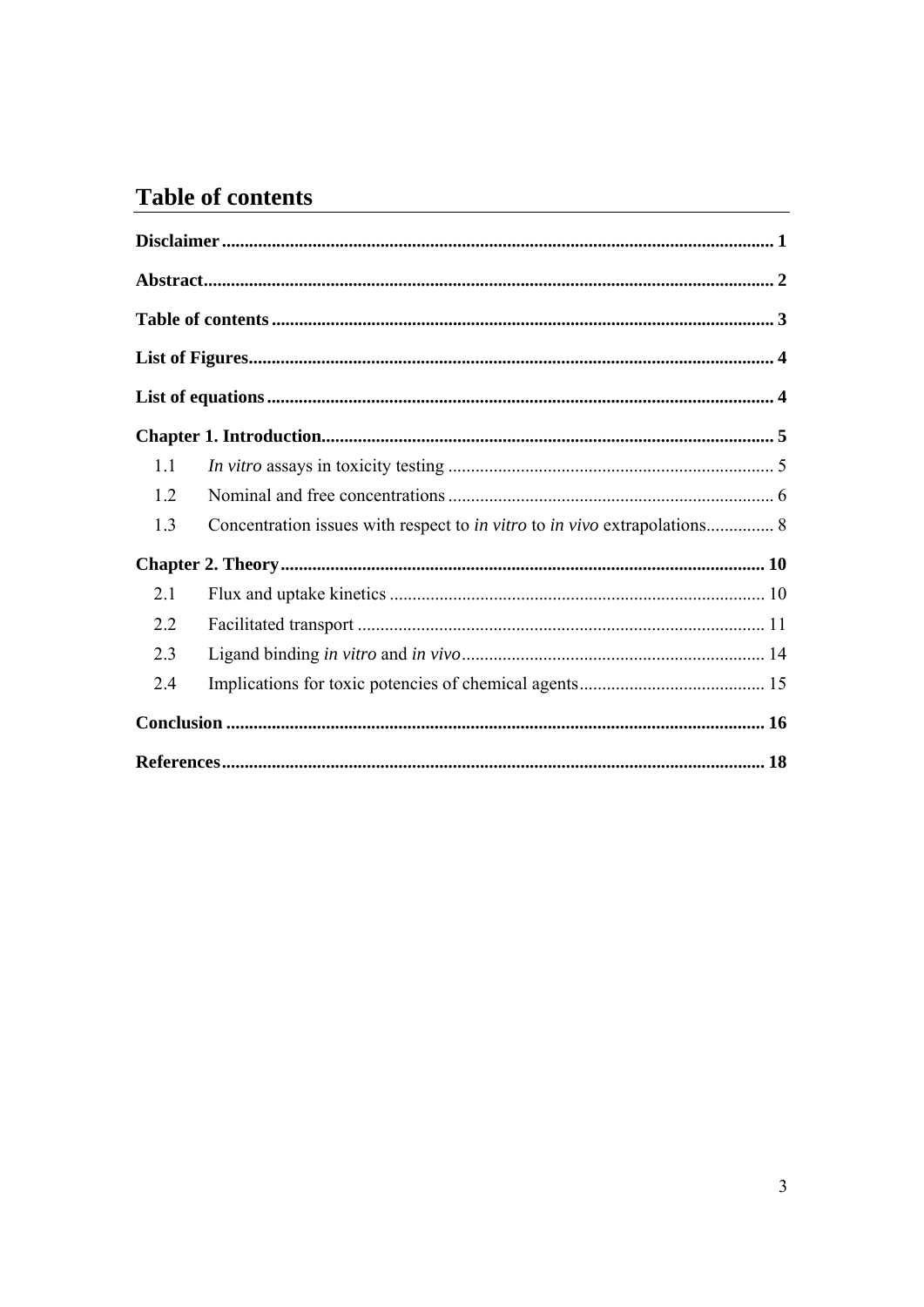# **Table of contents**

| 1.1 |                                                                                         |  |
|-----|-----------------------------------------------------------------------------------------|--|
| 1.2 |                                                                                         |  |
| 1.3 | Concentration issues with respect to <i>in vitro</i> to <i>in vivo</i> extrapolations 8 |  |
|     |                                                                                         |  |
| 2.1 |                                                                                         |  |
| 2.2 |                                                                                         |  |
| 2.3 |                                                                                         |  |
| 2.4 |                                                                                         |  |
|     |                                                                                         |  |
|     |                                                                                         |  |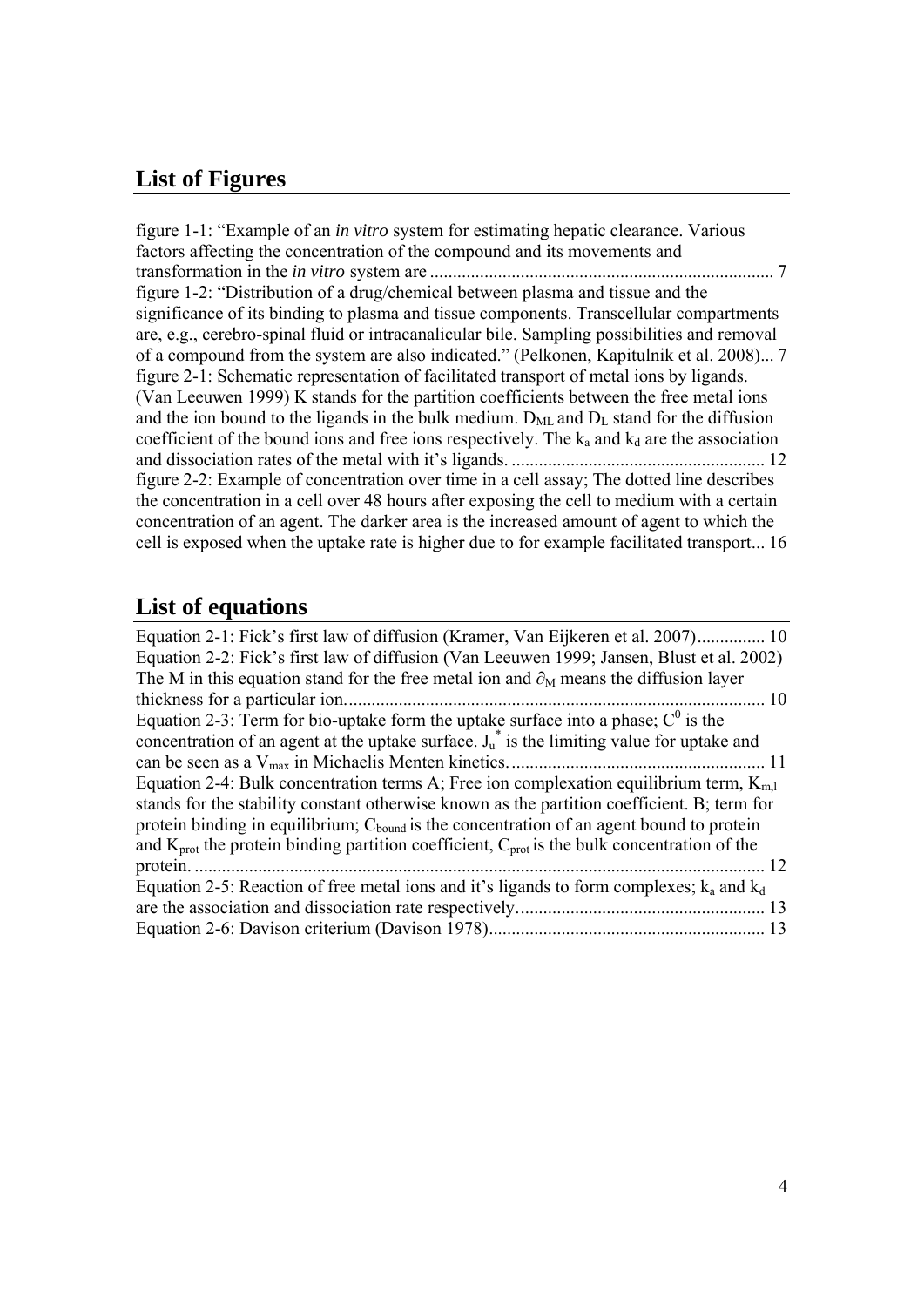# **List of Figures**

figure 1-1: "Example of an *in vitro* system for estimating hepatic clearance. Various factors affecting the concentration of the compound and its movements and transformation in the *in vitro* system are ............................................................................ 7 figure 1-2: "Distribution of a drug/chemical between plasma and tissue and the significance of its binding to plasma and tissue components. Transcellular compartments are, e.g., cerebro-spinal fluid or intracanalicular bile. Sampling possibilities and removal of a compound from the system are also indicated." (Pelkonen, Kapitulnik et al. 2008)... 7 figure 2-1: Schematic representation of facilitated transport of metal ions by ligands. (Van Leeuwen 1999) K stands for the partition coefficients between the free metal ions and the ion bound to the ligands in the bulk medium.  $D_{ML}$  and  $D_L$  stand for the diffusion coefficient of the bound ions and free ions respectively. The  $k_a$  and  $k_d$  are the association and dissociation rates of the metal with it's ligands. ........................................................ 12 figure 2-2: Example of concentration over time in a cell assay; The dotted line describes the concentration in a cell over 48 hours after exposing the cell to medium with a certain concentration of an agent. The darker area is the increased amount of agent to which the cell is exposed when the uptake rate is higher due to for example facilitated transport... 16

# **List of equations**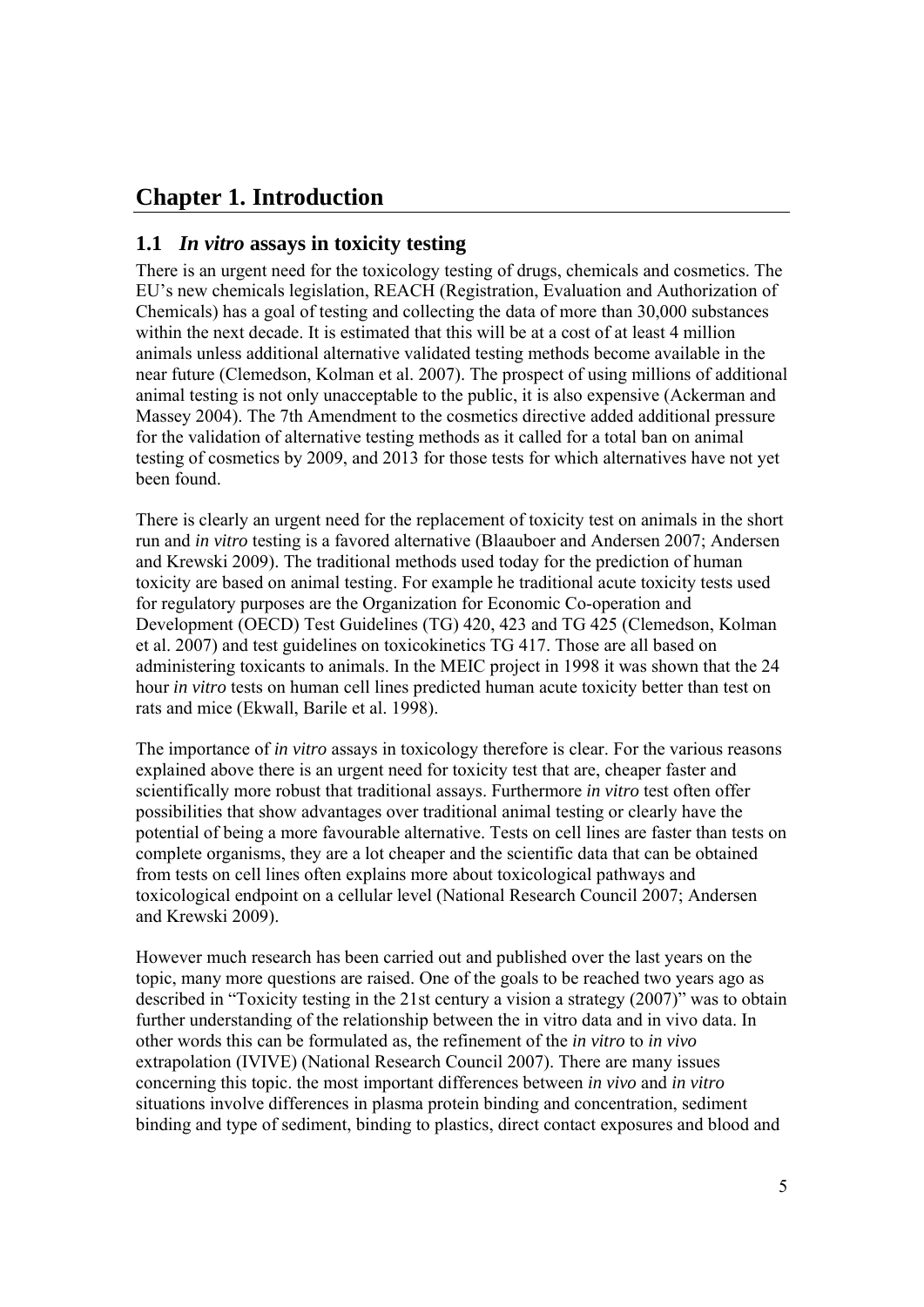# **Chapter 1. Introduction**

### **1.1** *In vitro* **assays in toxicity testing**

There is an urgent need for the toxicology testing of drugs, chemicals and cosmetics. The EU's new chemicals legislation, REACH (Registration, Evaluation and Authorization of Chemicals) has a goal of testing and collecting the data of more than 30,000 substances within the next decade. It is estimated that this will be at a cost of at least 4 million animals unless additional alternative validated testing methods become available in the near future (Clemedson, Kolman et al. 2007). The prospect of using millions of additional animal testing is not only unacceptable to the public, it is also expensive (Ackerman and Massey 2004). The 7th Amendment to the cosmetics directive added additional pressure for the validation of alternative testing methods as it called for a total ban on animal testing of cosmetics by 2009, and 2013 for those tests for which alternatives have not yet been found.

There is clearly an urgent need for the replacement of toxicity test on animals in the short run and *in vitro* testing is a favored alternative (Blaauboer and Andersen 2007; Andersen and Krewski 2009). The traditional methods used today for the prediction of human toxicity are based on animal testing. For example he traditional acute toxicity tests used for regulatory purposes are the Organization for Economic Co-operation and Development (OECD) Test Guidelines (TG) 420, 423 and TG 425 (Clemedson, Kolman et al. 2007) and test guidelines on toxicokinetics TG 417. Those are all based on administering toxicants to animals. In the MEIC project in 1998 it was shown that the 24 hour *in vitro* tests on human cell lines predicted human acute toxicity better than test on rats and mice (Ekwall, Barile et al. 1998).

The importance of *in vitro* assays in toxicology therefore is clear. For the various reasons explained above there is an urgent need for toxicity test that are, cheaper faster and scientifically more robust that traditional assays. Furthermore *in vitro* test often offer possibilities that show advantages over traditional animal testing or clearly have the potential of being a more favourable alternative. Tests on cell lines are faster than tests on complete organisms, they are a lot cheaper and the scientific data that can be obtained from tests on cell lines often explains more about toxicological pathways and toxicological endpoint on a cellular level (National Research Council 2007; Andersen and Krewski 2009).

However much research has been carried out and published over the last years on the topic, many more questions are raised. One of the goals to be reached two years ago as described in "Toxicity testing in the 21st century a vision a strategy (2007)" was to obtain further understanding of the relationship between the in vitro data and in vivo data. In other words this can be formulated as, the refinement of the *in vitro* to *in vivo* extrapolation (IVIVE) (National Research Council 2007). There are many issues concerning this topic. the most important differences between *in vivo* and *in vitro*  situations involve differences in plasma protein binding and concentration, sediment binding and type of sediment, binding to plastics, direct contact exposures and blood and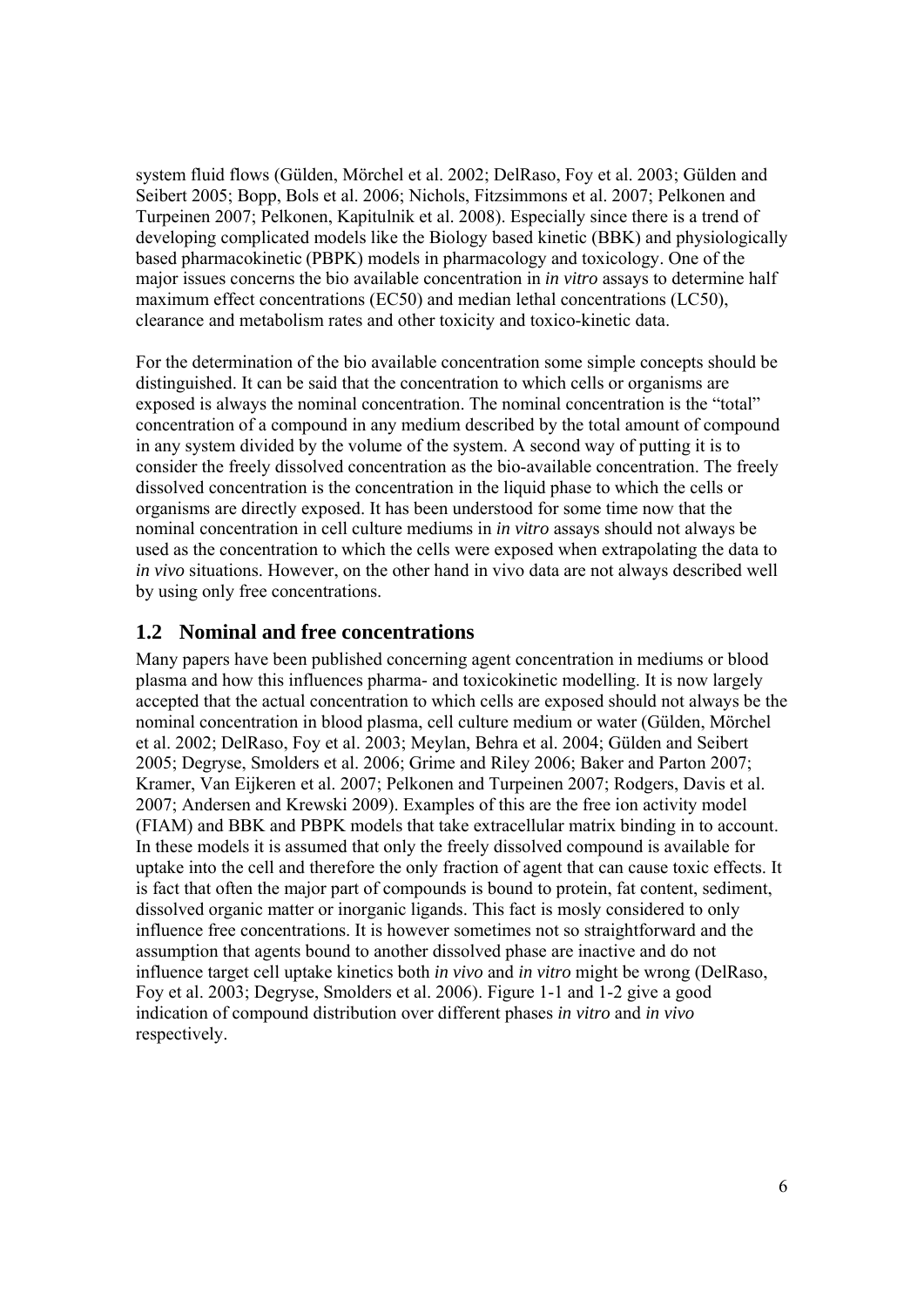system fluid flows (Gülden, Mörchel et al. 2002; DelRaso, Foy et al. 2003; Gülden and Seibert 2005; Bopp, Bols et al. 2006; Nichols, Fitzsimmons et al. 2007; Pelkonen and Turpeinen 2007; Pelkonen, Kapitulnik et al. 2008). Especially since there is a trend of developing complicated models like the Biology based kinetic (BBK) and physiologically based pharmacokinetic (PBPK) models in pharmacology and toxicology. One of the major issues concerns the bio available concentration in *in vitro* assays to determine half maximum effect concentrations (EC50) and median lethal concentrations (LC50), clearance and metabolism rates and other toxicity and toxico-kinetic data.

For the determination of the bio available concentration some simple concepts should be distinguished. It can be said that the concentration to which cells or organisms are exposed is always the nominal concentration. The nominal concentration is the "total" concentration of a compound in any medium described by the total amount of compound in any system divided by the volume of the system. A second way of putting it is to consider the freely dissolved concentration as the bio-available concentration. The freely dissolved concentration is the concentration in the liquid phase to which the cells or organisms are directly exposed. It has been understood for some time now that the nominal concentration in cell culture mediums in *in vitro* assays should not always be used as the concentration to which the cells were exposed when extrapolating the data to *in vivo* situations. However, on the other hand in vivo data are not always described well by using only free concentrations.

### **1.2 Nominal and free concentrations**

Many papers have been published concerning agent concentration in mediums or blood plasma and how this influences pharma- and toxicokinetic modelling. It is now largely accepted that the actual concentration to which cells are exposed should not always be the nominal concentration in blood plasma, cell culture medium or water (Gülden, Mörchel et al. 2002; DelRaso, Foy et al. 2003; Meylan, Behra et al. 2004; Gülden and Seibert 2005; Degryse, Smolders et al. 2006; Grime and Riley 2006; Baker and Parton 2007; Kramer, Van Eijkeren et al. 2007; Pelkonen and Turpeinen 2007; Rodgers, Davis et al. 2007; Andersen and Krewski 2009). Examples of this are the free ion activity model (FIAM) and BBK and PBPK models that take extracellular matrix binding in to account. In these models it is assumed that only the freely dissolved compound is available for uptake into the cell and therefore the only fraction of agent that can cause toxic effects. It is fact that often the major part of compounds is bound to protein, fat content, sediment, dissolved organic matter or inorganic ligands. This fact is mosly considered to only influence free concentrations. It is however sometimes not so straightforward and the assumption that agents bound to another dissolved phase are inactive and do not influence target cell uptake kinetics both *in vivo* and *in vitro* might be wrong (DelRaso, Foy et al. 2003; Degryse, Smolders et al. 2006). Figure 1-1 and 1-2 give a good indication of compound distribution over different phases *in vitro* and *in vivo* respectively.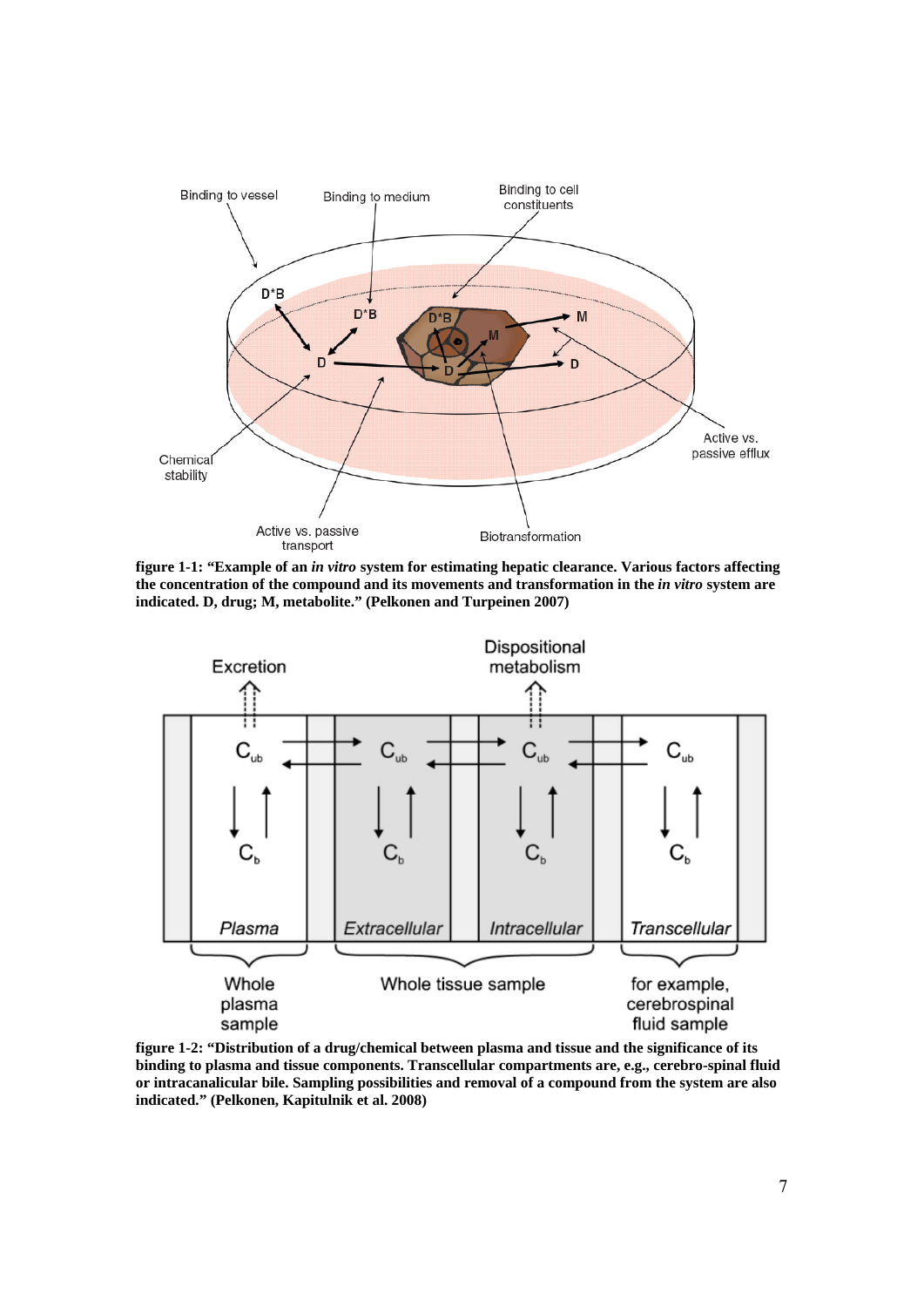

**figure 1-1: "Example of an** *in vitro* **system for estimating hepatic clearance. Various factors affecting the concentration of the compound and its movements and transformation in the** *in vitro* **system are indicated. D, drug; M, metabolite." (Pelkonen and Turpeinen 2007)** 



**figure 1-2: "Distribution of a drug/chemical between plasma and tissue and the significance of its binding to plasma and tissue components. Transcellular compartments are, e.g., cerebro-spinal fluid or intracanalicular bile. Sampling possibilities and removal of a compound from the system are also indicated." (Pelkonen, Kapitulnik et al. 2008)**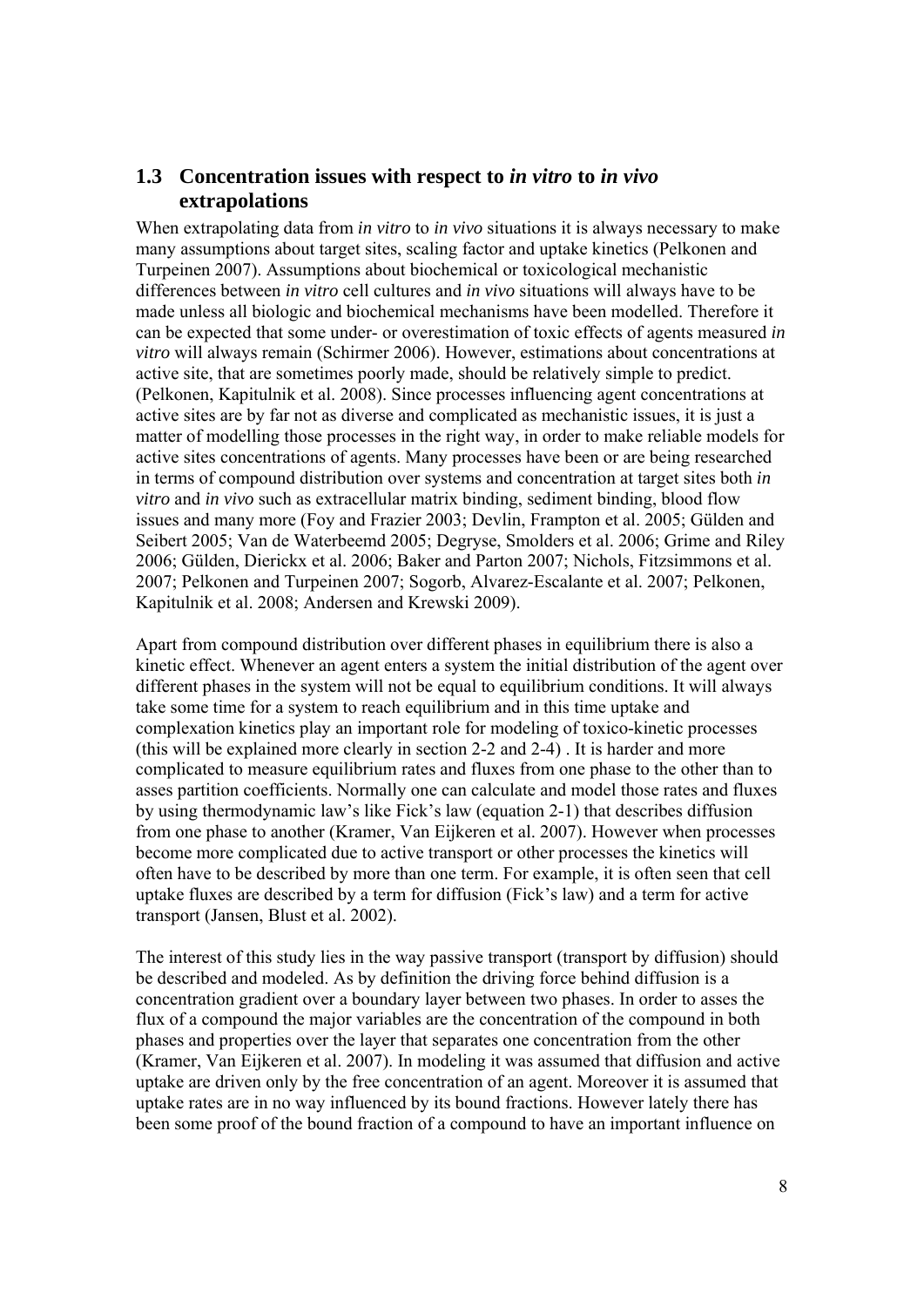#### **1.3 Concentration issues with respect to** *in vitro* **to** *in vivo* **extrapolations**

When extrapolating data from *in vitro* to *in vivo* situations it is always necessary to make many assumptions about target sites, scaling factor and uptake kinetics (Pelkonen and Turpeinen 2007). Assumptions about biochemical or toxicological mechanistic differences between *in vitro* cell cultures and *in vivo* situations will always have to be made unless all biologic and biochemical mechanisms have been modelled. Therefore it can be expected that some under- or overestimation of toxic effects of agents measured *in vitro* will always remain (Schirmer 2006). However, estimations about concentrations at active site, that are sometimes poorly made, should be relatively simple to predict. (Pelkonen, Kapitulnik et al. 2008). Since processes influencing agent concentrations at active sites are by far not as diverse and complicated as mechanistic issues, it is just a matter of modelling those processes in the right way, in order to make reliable models for active sites concentrations of agents. Many processes have been or are being researched in terms of compound distribution over systems and concentration at target sites both *in vitro* and *in vivo* such as extracellular matrix binding, sediment binding, blood flow issues and many more (Foy and Frazier 2003; Devlin, Frampton et al. 2005; Gülden and Seibert 2005; Van de Waterbeemd 2005; Degryse, Smolders et al. 2006; Grime and Riley 2006; Gülden, Dierickx et al. 2006; Baker and Parton 2007; Nichols, Fitzsimmons et al. 2007; Pelkonen and Turpeinen 2007; Sogorb, Alvarez-Escalante et al. 2007; Pelkonen, Kapitulnik et al. 2008; Andersen and Krewski 2009).

Apart from compound distribution over different phases in equilibrium there is also a kinetic effect. Whenever an agent enters a system the initial distribution of the agent over different phases in the system will not be equal to equilibrium conditions. It will always take some time for a system to reach equilibrium and in this time uptake and complexation kinetics play an important role for modeling of toxico-kinetic processes (this will be explained more clearly in section 2-2 and 2-4) . It is harder and more complicated to measure equilibrium rates and fluxes from one phase to the other than to asses partition coefficients. Normally one can calculate and model those rates and fluxes by using thermodynamic law's like Fick's law (equation 2-1) that describes diffusion from one phase to another (Kramer, Van Eijkeren et al. 2007). However when processes become more complicated due to active transport or other processes the kinetics will often have to be described by more than one term. For example, it is often seen that cell uptake fluxes are described by a term for diffusion (Fick's law) and a term for active transport (Jansen, Blust et al. 2002).

The interest of this study lies in the way passive transport (transport by diffusion) should be described and modeled. As by definition the driving force behind diffusion is a concentration gradient over a boundary layer between two phases. In order to asses the flux of a compound the major variables are the concentration of the compound in both phases and properties over the layer that separates one concentration from the other (Kramer, Van Eijkeren et al. 2007). In modeling it was assumed that diffusion and active uptake are driven only by the free concentration of an agent. Moreover it is assumed that uptake rates are in no way influenced by its bound fractions. However lately there has been some proof of the bound fraction of a compound to have an important influence on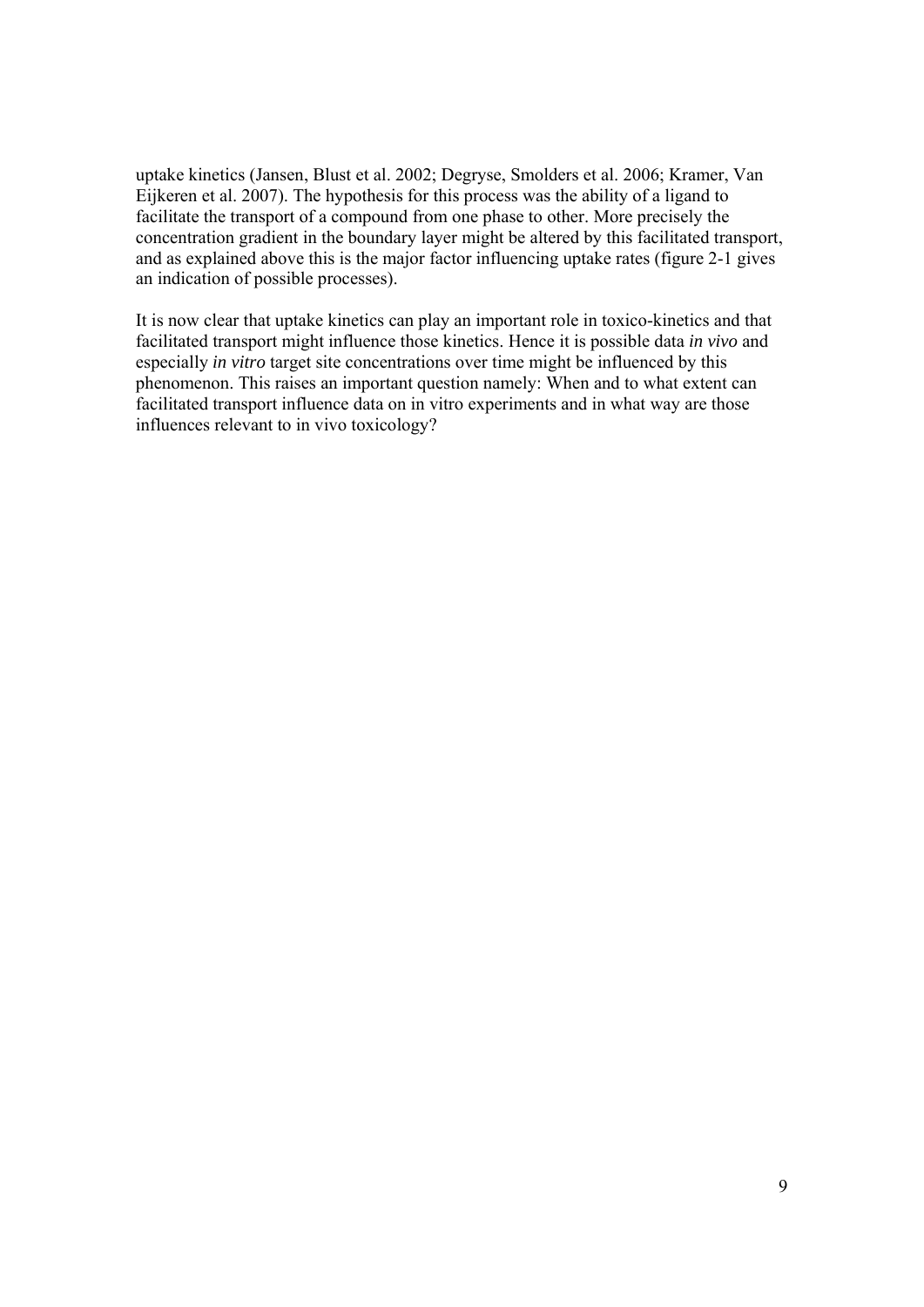uptake kinetics (Jansen, Blust et al. 2002; Degryse, Smolders et al. 2006; Kramer, Van Eijkeren et al. 2007). The hypothesis for this process was the ability of a ligand to facilitate the transport of a compound from one phase to other. More precisely the concentration gradient in the boundary layer might be altered by this facilitated transport, and as explained above this is the major factor influencing uptake rates (figure 2-1 gives an indication of possible processes).

It is now clear that uptake kinetics can play an important role in toxico-kinetics and that facilitated transport might influence those kinetics. Hence it is possible data *in vivo* and especially *in vitro* target site concentrations over time might be influenced by this phenomenon. This raises an important question namely: When and to what extent can facilitated transport influence data on in vitro experiments and in what way are those influences relevant to in vivo toxicology?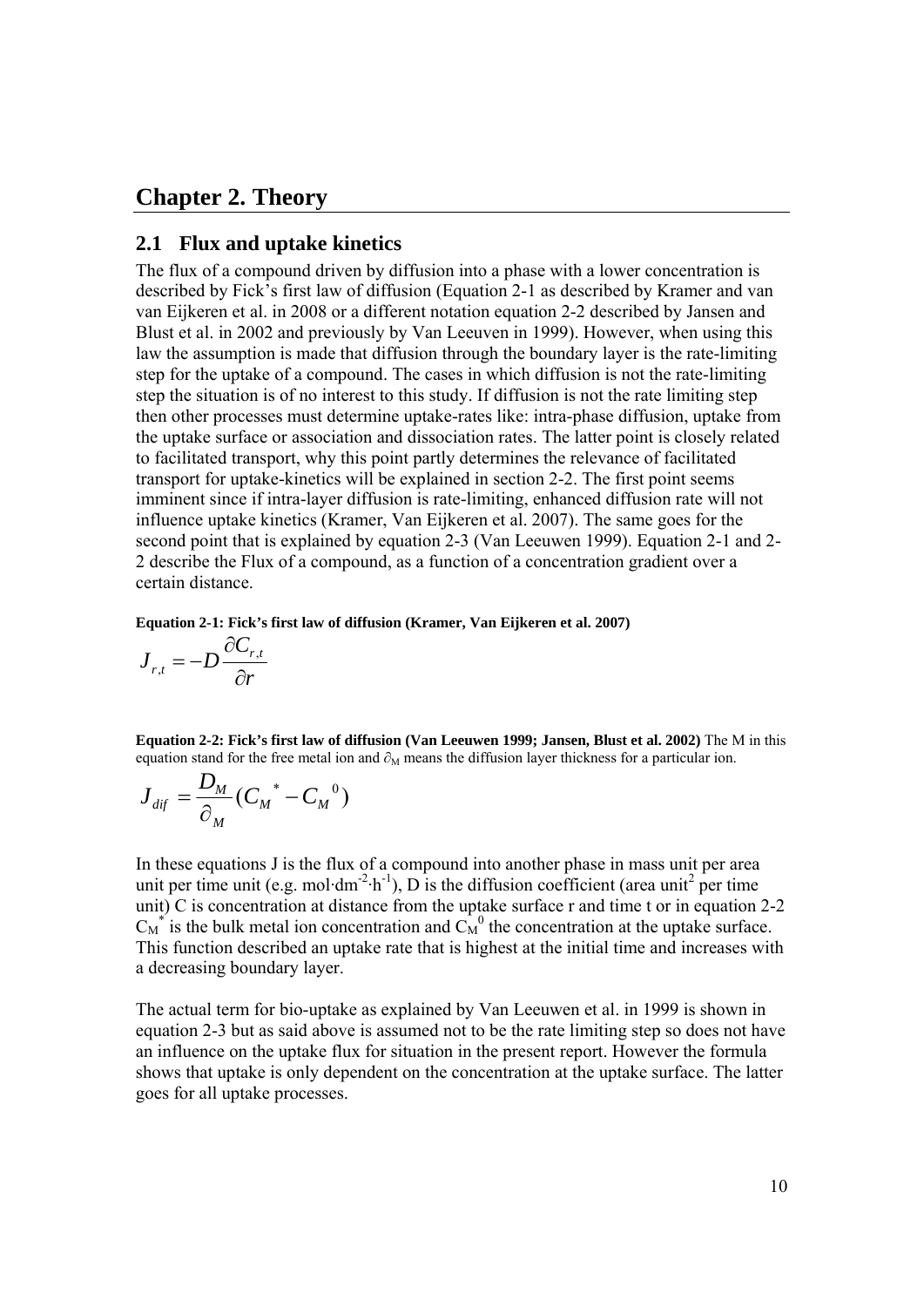### **Chapter 2. Theory**

#### **2.1 Flux and uptake kinetics**

The flux of a compound driven by diffusion into a phase with a lower concentration is described by Fick's first law of diffusion (Equation 2-1 as described by Kramer and van van Eijkeren et al. in 2008 or a different notation equation 2-2 described by Jansen and Blust et al. in 2002 and previously by Van Leeuven in 1999). However, when using this law the assumption is made that diffusion through the boundary layer is the rate-limiting step for the uptake of a compound. The cases in which diffusion is not the rate-limiting step the situation is of no interest to this study. If diffusion is not the rate limiting step then other processes must determine uptake-rates like: intra-phase diffusion, uptake from the uptake surface or association and dissociation rates. The latter point is closely related to facilitated transport, why this point partly determines the relevance of facilitated transport for uptake-kinetics will be explained in section 2-2. The first point seems imminent since if intra-layer diffusion is rate-limiting, enhanced diffusion rate will not influence uptake kinetics (Kramer, Van Eijkeren et al. 2007). The same goes for the second point that is explained by equation 2-3 (Van Leeuwen 1999). Equation 2-1 and 2- 2 describe the Flux of a compound, as a function of a concentration gradient over a certain distance.

**Equation 2-1: Fick's first law of diffusion (Kramer, Van Eijkeren et al. 2007)**

$$
\boldsymbol{J}_{r,t} = -D \frac{\partial \boldsymbol{C}_{r,t}}{\partial r}
$$

**Equation 2-2: Fick's first law of diffusion (Van Leeuwen 1999; Jansen, Blust et al. 2002)** The M in this equation stand for the free metal ion and  $\partial_M$  means the diffusion layer thickness for a particular ion.

$$
J_{\text{dif}}^{\text{}}=\frac{D_M}{\partial_M}(C_M^{\text{}}-C_M^{\text{}}^0)
$$

In these equations J is the flux of a compound into another phase in mass unit per area unit per time unit (e.g. mol·dm<sup>-2</sup>·h<sup>-1</sup>), D is the diffusion coefficient (area unit<sup>2</sup> per time unit) C is concentration at distance from the uptake surface r and time t or in equation 2-2  $C_M^*$  is the bulk metal ion concentration and  $C_M^0$  the concentration at the uptake surface. This function described an uptake rate that is highest at the initial time and increases with a decreasing boundary layer.

The actual term for bio-uptake as explained by Van Leeuwen et al. in 1999 is shown in equation 2-3 but as said above is assumed not to be the rate limiting step so does not have an influence on the uptake flux for situation in the present report. However the formula shows that uptake is only dependent on the concentration at the uptake surface. The latter goes for all uptake processes.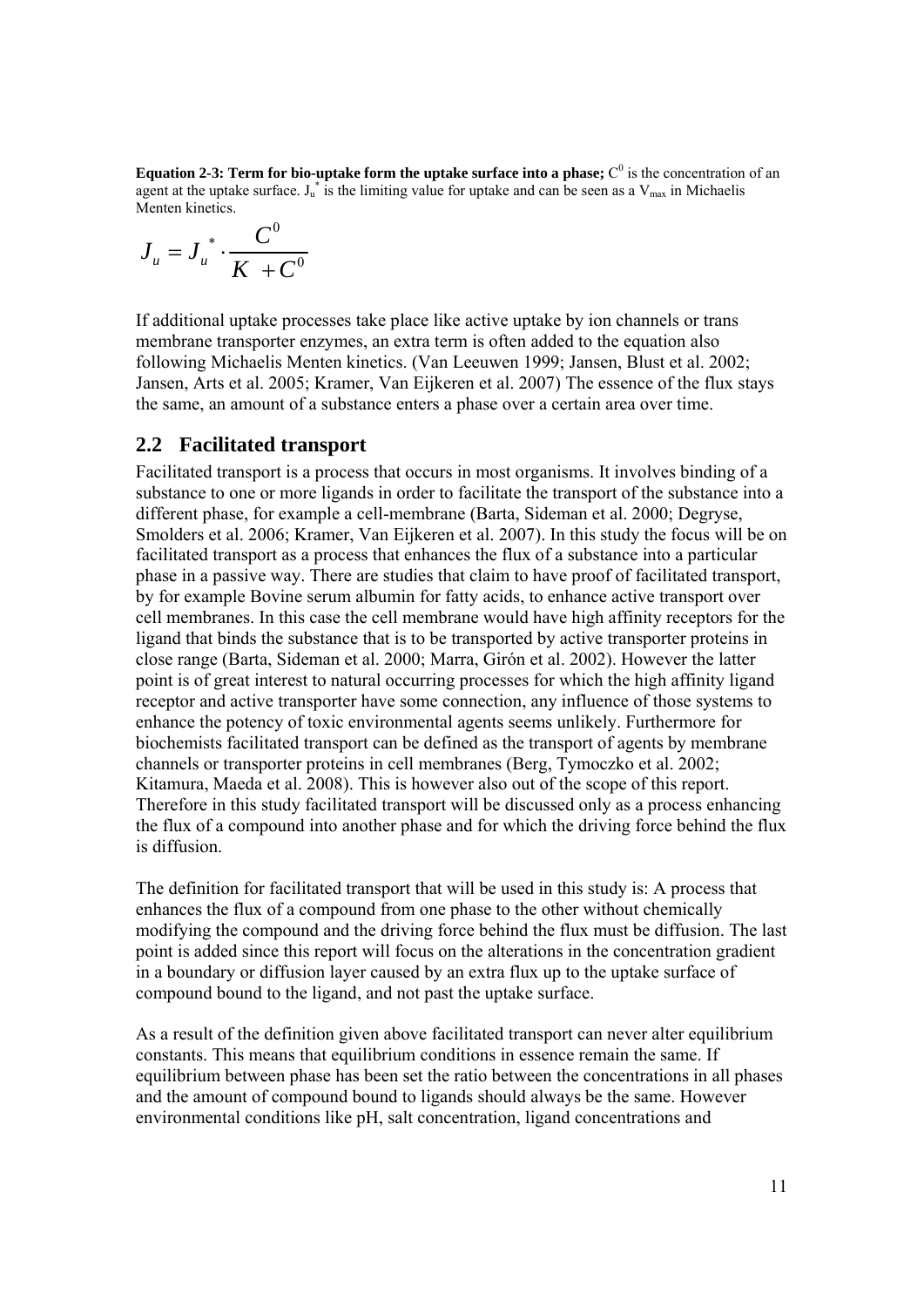**Equation 2-3: Term for bio-uptake form the uptake surface into a phase;**  $C^0$  is the concentration of an agent at the uptake surface.  $J_u^*$  is the limiting value for uptake and can be seen as a  $V_{\text{max}}$  in Michaelis Menten kinetics.

$$
J_u = J_u^* \cdot \frac{C^0}{K + C^0}
$$

If additional uptake processes take place like active uptake by ion channels or trans membrane transporter enzymes, an extra term is often added to the equation also following Michaelis Menten kinetics. (Van Leeuwen 1999; Jansen, Blust et al. 2002; Jansen, Arts et al. 2005; Kramer, Van Eijkeren et al. 2007) The essence of the flux stays the same, an amount of a substance enters a phase over a certain area over time.

#### **2.2 Facilitated transport**

Facilitated transport is a process that occurs in most organisms. It involves binding of a substance to one or more ligands in order to facilitate the transport of the substance into a different phase, for example a cell-membrane (Barta, Sideman et al. 2000; Degryse, Smolders et al. 2006; Kramer, Van Eijkeren et al. 2007). In this study the focus will be on facilitated transport as a process that enhances the flux of a substance into a particular phase in a passive way. There are studies that claim to have proof of facilitated transport, by for example Bovine serum albumin for fatty acids, to enhance active transport over cell membranes. In this case the cell membrane would have high affinity receptors for the ligand that binds the substance that is to be transported by active transporter proteins in close range (Barta, Sideman et al. 2000; Marra, Girón et al. 2002). However the latter point is of great interest to natural occurring processes for which the high affinity ligand receptor and active transporter have some connection, any influence of those systems to enhance the potency of toxic environmental agents seems unlikely. Furthermore for biochemists facilitated transport can be defined as the transport of agents by membrane channels or transporter proteins in cell membranes (Berg, Tymoczko et al. 2002; Kitamura, Maeda et al. 2008). This is however also out of the scope of this report. Therefore in this study facilitated transport will be discussed only as a process enhancing the flux of a compound into another phase and for which the driving force behind the flux is diffusion.

The definition for facilitated transport that will be used in this study is: A process that enhances the flux of a compound from one phase to the other without chemically modifying the compound and the driving force behind the flux must be diffusion. The last point is added since this report will focus on the alterations in the concentration gradient in a boundary or diffusion layer caused by an extra flux up to the uptake surface of compound bound to the ligand, and not past the uptake surface.

As a result of the definition given above facilitated transport can never alter equilibrium constants. This means that equilibrium conditions in essence remain the same. If equilibrium between phase has been set the ratio between the concentrations in all phases and the amount of compound bound to ligands should always be the same. However environmental conditions like pH, salt concentration, ligand concentrations and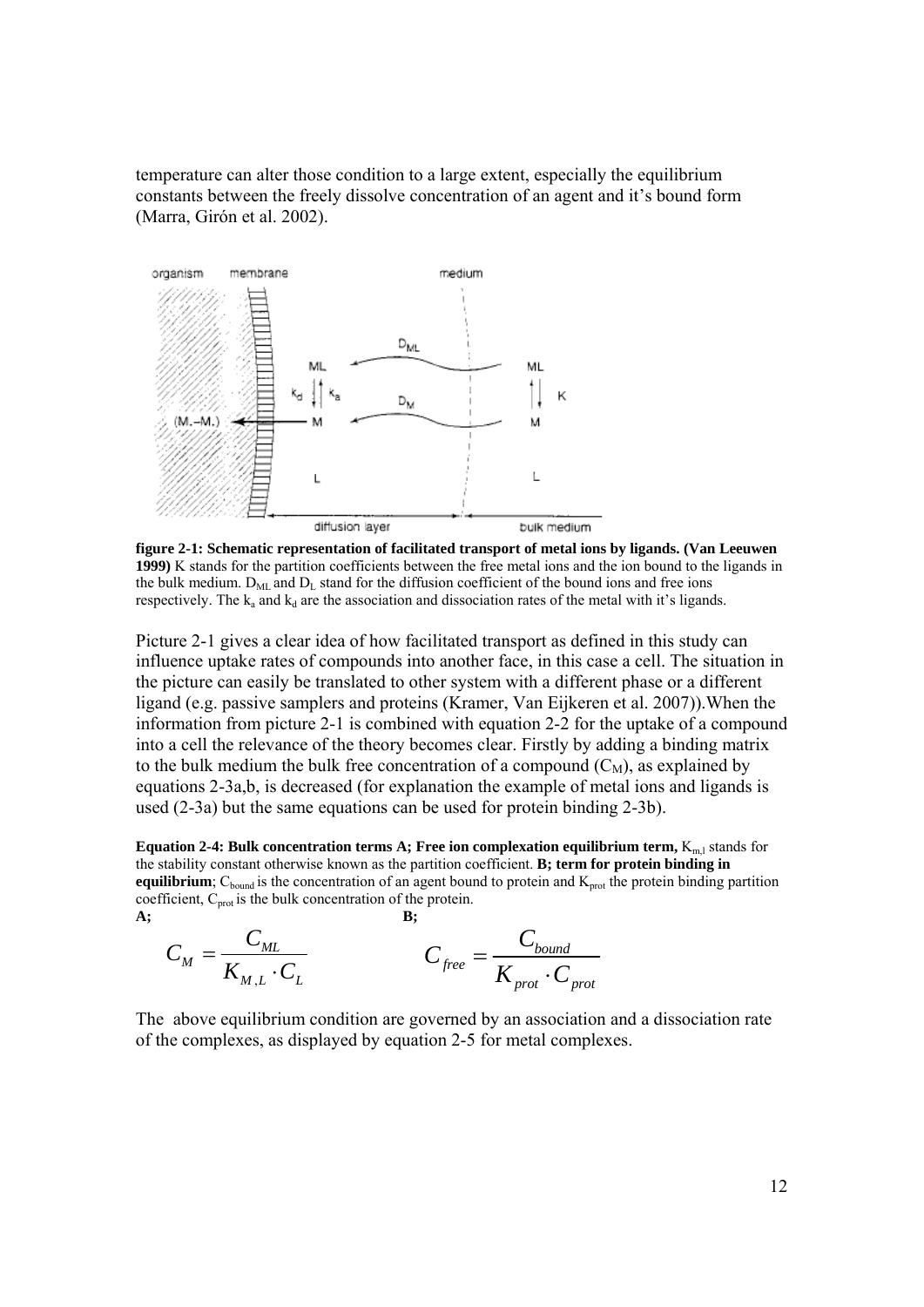temperature can alter those condition to a large extent, especially the equilibrium constants between the freely dissolve concentration of an agent and it's bound form (Marra, Girón et al. 2002).



**figure 2-1: Schematic representation of facilitated transport of metal ions by ligands. (Van Leeuwen 1999)** K stands for the partition coefficients between the free metal ions and the ion bound to the ligands in the bulk medium.  $D_{ML}$  and  $D_L$  stand for the diffusion coefficient of the bound ions and free ions respectively. The  $k_a$  and  $k_d$  are the association and dissociation rates of the metal with it's ligands.

Picture 2-1 gives a clear idea of how facilitated transport as defined in this study can influence uptake rates of compounds into another face, in this case a cell. The situation in the picture can easily be translated to other system with a different phase or a different ligand (e.g. passive samplers and proteins (Kramer, Van Eijkeren et al. 2007)).When the information from picture 2-1 is combined with equation 2-2 for the uptake of a compound into a cell the relevance of the theory becomes clear. Firstly by adding a binding matrix to the bulk medium the bulk free concentration of a compound  $(C_M)$ , as explained by equations 2-3a,b, is decreased (for explanation the example of metal ions and ligands is used (2-3a) but the same equations can be used for protein binding 2-3b).

**Equation 2-4: Bulk concentration terms A; Free ion complexation equilibrium term,**  $K_{m,l}$  **stands for** the stability constant otherwise known as the partition coefficient. **B; term for protein binding in equilibrium**;  $C_{bound}$  is the concentration of an agent bound to protein and  $K_{prot}$  the protein binding partition coefficient,  $C_{\text{prot}}$  is the bulk concentration of the protein. **A; B;** 

$$
C_M = \frac{C_{ML}}{K_{M,L} \cdot C_L}
$$
  

$$
C_{free} = \frac{C_{bound}}{K_{prot} \cdot C_{prot}}
$$

The above equilibrium condition are governed by an association and a dissociation rate of the complexes, as displayed by equation 2-5 for metal complexes.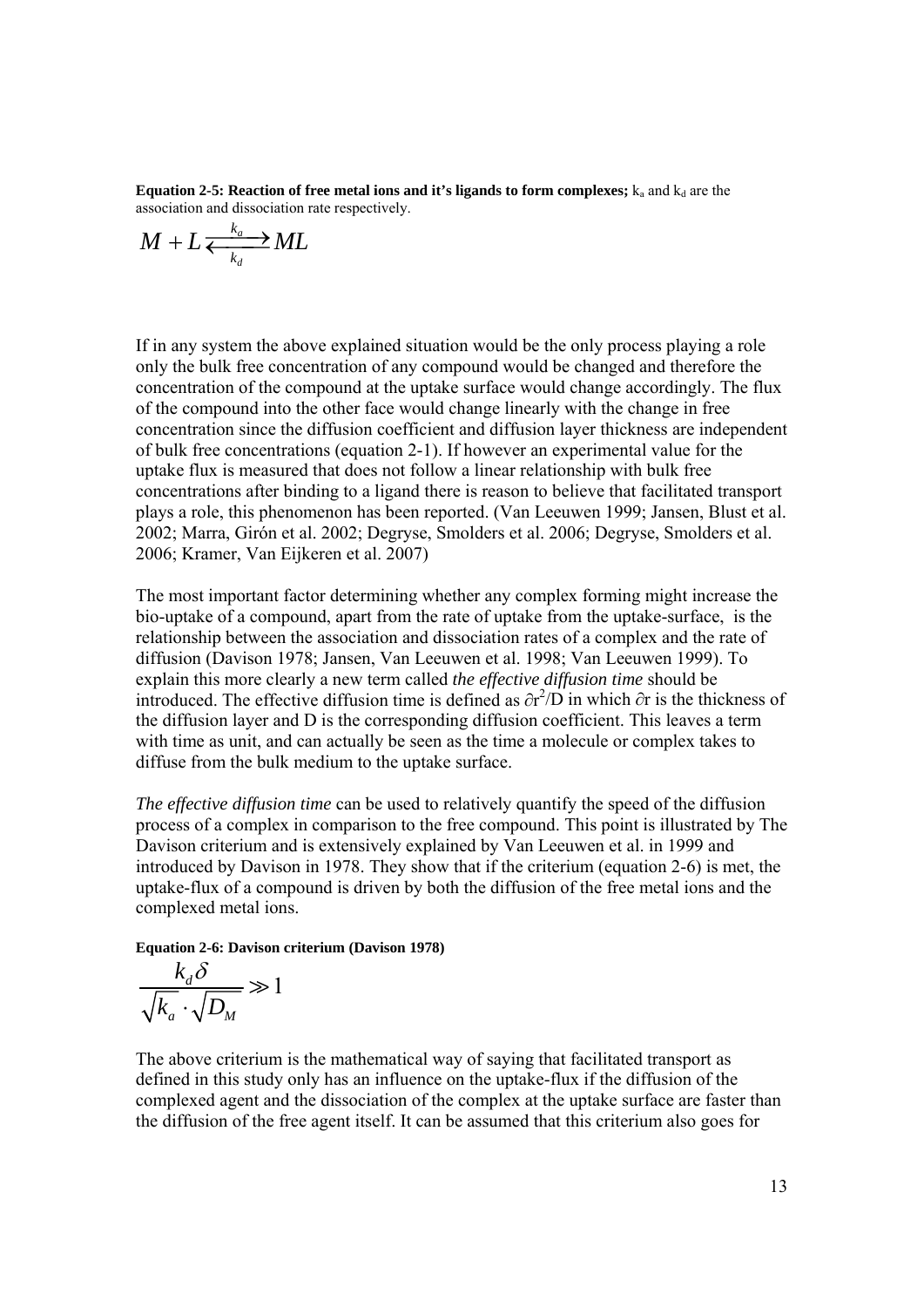**Equation 2-5: Reaction of free metal ions and it's ligands to form complexes;**  $k_a$  and  $k_d$  are the association and dissociation rate respectively.

$$
M + L \xleftarrow[k_a]{k_a} ML
$$

If in any system the above explained situation would be the only process playing a role only the bulk free concentration of any compound would be changed and therefore the concentration of the compound at the uptake surface would change accordingly. The flux of the compound into the other face would change linearly with the change in free concentration since the diffusion coefficient and diffusion layer thickness are independent of bulk free concentrations (equation 2-1). If however an experimental value for the uptake flux is measured that does not follow a linear relationship with bulk free concentrations after binding to a ligand there is reason to believe that facilitated transport plays a role, this phenomenon has been reported. (Van Leeuwen 1999; Jansen, Blust et al. 2002; Marra, Girón et al. 2002; Degryse, Smolders et al. 2006; Degryse, Smolders et al. 2006; Kramer, Van Eijkeren et al. 2007)

The most important factor determining whether any complex forming might increase the bio-uptake of a compound, apart from the rate of uptake from the uptake-surface, is the relationship between the association and dissociation rates of a complex and the rate of diffusion (Davison 1978; Jansen, Van Leeuwen et al. 1998; Van Leeuwen 1999). To explain this more clearly a new term called *the effective diffusion time* should be introduced. The effective diffusion time is defined as  $\partial r^2/D$  in which  $\partial r$  is the thickness of the diffusion layer and D is the corresponding diffusion coefficient. This leaves a term with time as unit, and can actually be seen as the time a molecule or complex takes to diffuse from the bulk medium to the uptake surface.

*The effective diffusion time* can be used to relatively quantify the speed of the diffusion process of a complex in comparison to the free compound. This point is illustrated by The Davison criterium and is extensively explained by Van Leeuwen et al. in 1999 and introduced by Davison in 1978. They show that if the criterium (equation 2-6) is met, the uptake-flux of a compound is driven by both the diffusion of the free metal ions and the complexed metal ions.

**Equation 2-6: Davison criterium (Davison 1978)** 

$$
\frac{k_d \delta}{\sqrt{k_a} \cdot \sqrt{D_M}} \gg 1
$$

The above criterium is the mathematical way of saying that facilitated transport as defined in this study only has an influence on the uptake-flux if the diffusion of the complexed agent and the dissociation of the complex at the uptake surface are faster than the diffusion of the free agent itself. It can be assumed that this criterium also goes for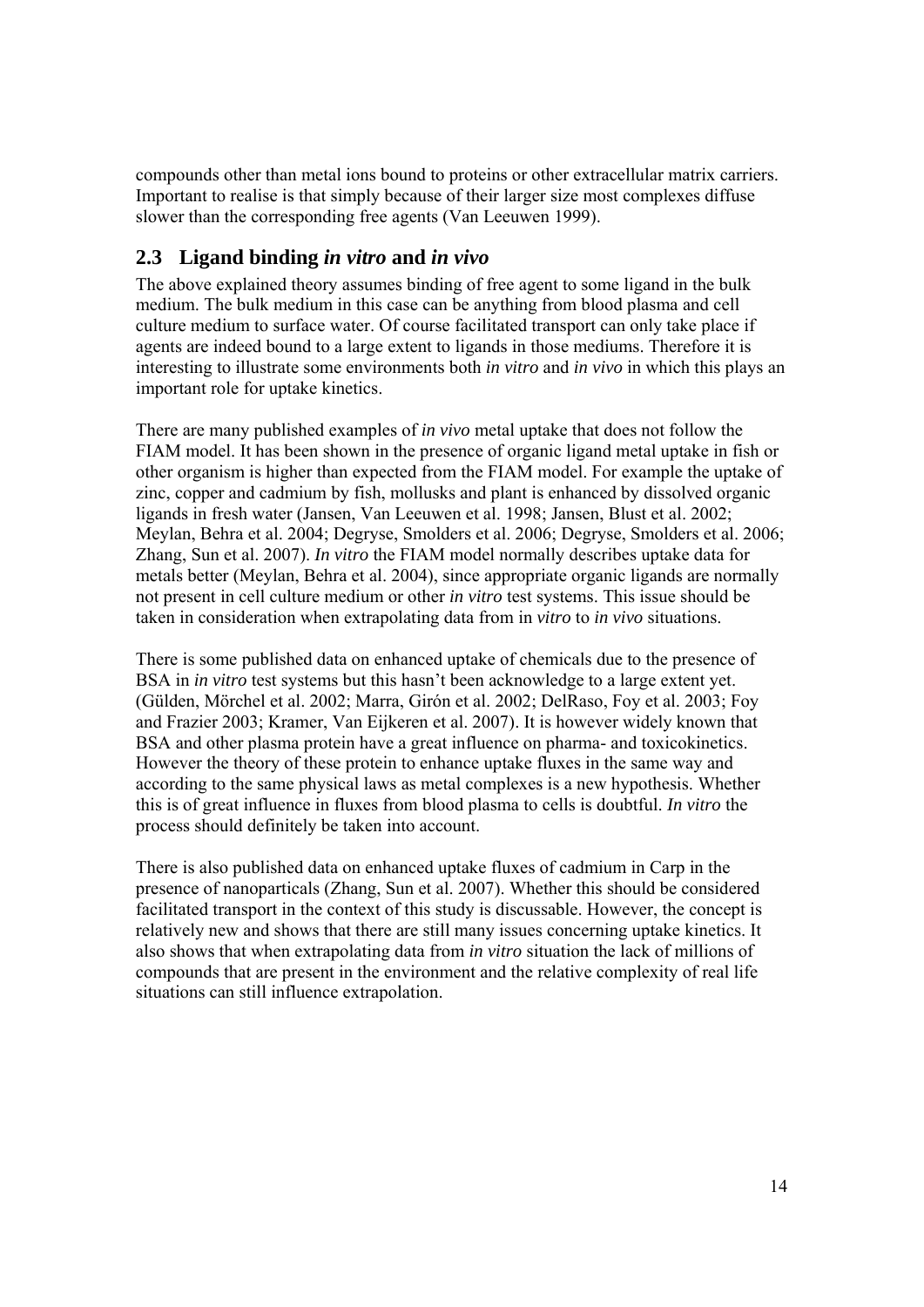compounds other than metal ions bound to proteins or other extracellular matrix carriers. Important to realise is that simply because of their larger size most complexes diffuse slower than the corresponding free agents (Van Leeuwen 1999).

### **2.3 Ligand binding** *in vitro* **and** *in vivo*

The above explained theory assumes binding of free agent to some ligand in the bulk medium. The bulk medium in this case can be anything from blood plasma and cell culture medium to surface water. Of course facilitated transport can only take place if agents are indeed bound to a large extent to ligands in those mediums. Therefore it is interesting to illustrate some environments both *in vitro* and *in vivo* in which this plays an important role for uptake kinetics.

There are many published examples of *in vivo* metal uptake that does not follow the FIAM model. It has been shown in the presence of organic ligand metal uptake in fish or other organism is higher than expected from the FIAM model. For example the uptake of zinc, copper and cadmium by fish, mollusks and plant is enhanced by dissolved organic ligands in fresh water (Jansen, Van Leeuwen et al. 1998; Jansen, Blust et al. 2002; Meylan, Behra et al. 2004; Degryse, Smolders et al. 2006; Degryse, Smolders et al. 2006; Zhang, Sun et al. 2007). *In vitro* the FIAM model normally describes uptake data for metals better (Meylan, Behra et al. 2004), since appropriate organic ligands are normally not present in cell culture medium or other *in vitro* test systems. This issue should be taken in consideration when extrapolating data from in *vitro* to *in vivo* situations.

There is some published data on enhanced uptake of chemicals due to the presence of BSA in *in vitro* test systems but this hasn't been acknowledge to a large extent yet. (Gülden, Mörchel et al. 2002; Marra, Girón et al. 2002; DelRaso, Foy et al. 2003; Foy and Frazier 2003; Kramer, Van Eijkeren et al. 2007). It is however widely known that BSA and other plasma protein have a great influence on pharma- and toxicokinetics. However the theory of these protein to enhance uptake fluxes in the same way and according to the same physical laws as metal complexes is a new hypothesis. Whether this is of great influence in fluxes from blood plasma to cells is doubtful. *In vitro* the process should definitely be taken into account.

There is also published data on enhanced uptake fluxes of cadmium in Carp in the presence of nanoparticals (Zhang, Sun et al. 2007). Whether this should be considered facilitated transport in the context of this study is discussable. However, the concept is relatively new and shows that there are still many issues concerning uptake kinetics. It also shows that when extrapolating data from *in vitro* situation the lack of millions of compounds that are present in the environment and the relative complexity of real life situations can still influence extrapolation.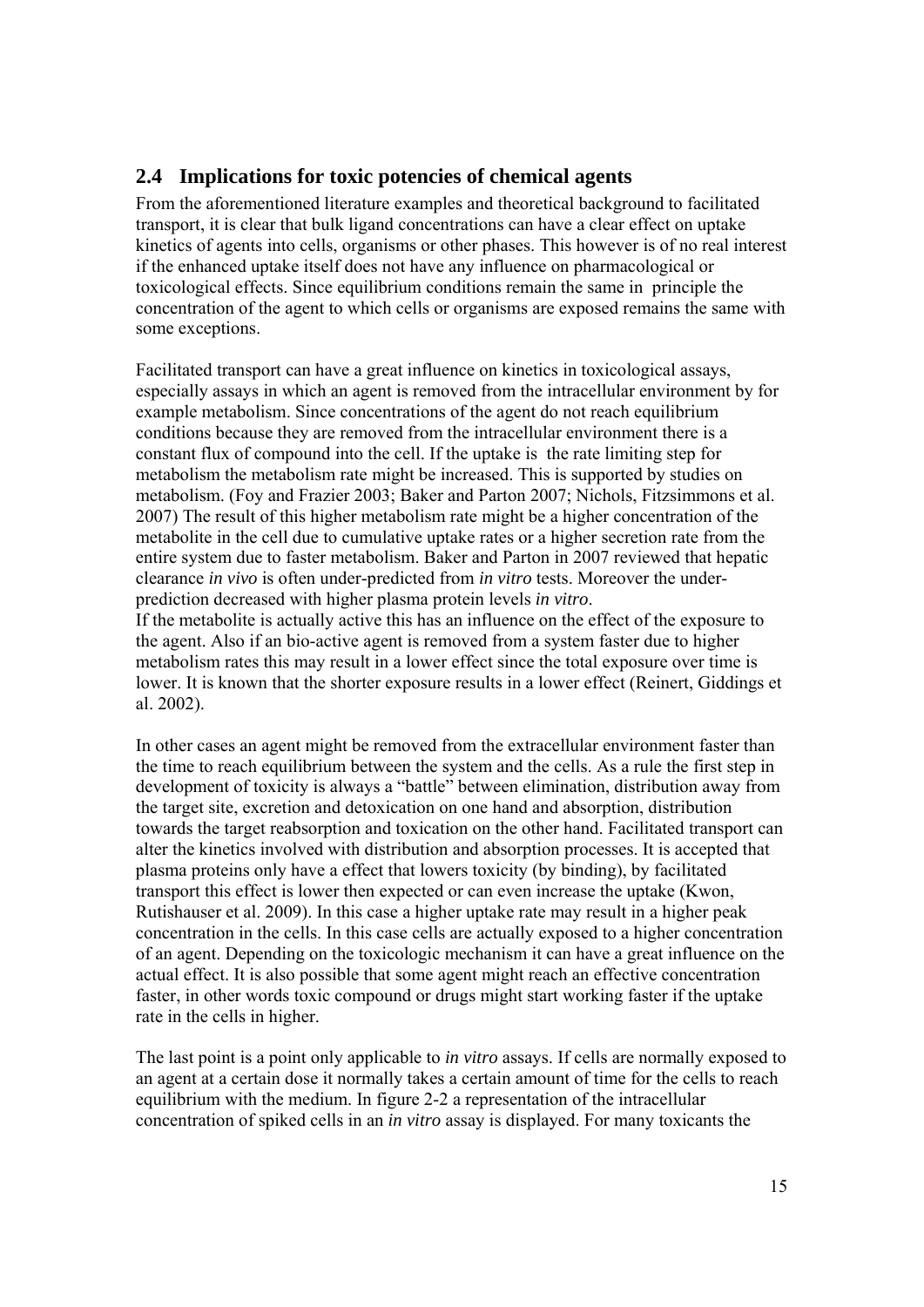## **2.4 Implications for toxic potencies of chemical agents**

From the aforementioned literature examples and theoretical background to facilitated transport, it is clear that bulk ligand concentrations can have a clear effect on uptake kinetics of agents into cells, organisms or other phases. This however is of no real interest if the enhanced uptake itself does not have any influence on pharmacological or toxicological effects. Since equilibrium conditions remain the same in principle the concentration of the agent to which cells or organisms are exposed remains the same with some exceptions.

Facilitated transport can have a great influence on kinetics in toxicological assays, especially assays in which an agent is removed from the intracellular environment by for example metabolism. Since concentrations of the agent do not reach equilibrium conditions because they are removed from the intracellular environment there is a constant flux of compound into the cell. If the uptake is the rate limiting step for metabolism the metabolism rate might be increased. This is supported by studies on metabolism. (Foy and Frazier 2003; Baker and Parton 2007; Nichols, Fitzsimmons et al. 2007) The result of this higher metabolism rate might be a higher concentration of the metabolite in the cell due to cumulative uptake rates or a higher secretion rate from the entire system due to faster metabolism. Baker and Parton in 2007 reviewed that hepatic clearance *in vivo* is often under-predicted from *in vitro* tests. Moreover the underprediction decreased with higher plasma protein levels *in vitro*.

If the metabolite is actually active this has an influence on the effect of the exposure to the agent. Also if an bio-active agent is removed from a system faster due to higher metabolism rates this may result in a lower effect since the total exposure over time is lower. It is known that the shorter exposure results in a lower effect (Reinert, Giddings et al. 2002).

In other cases an agent might be removed from the extracellular environment faster than the time to reach equilibrium between the system and the cells. As a rule the first step in development of toxicity is always a "battle" between elimination, distribution away from the target site, excretion and detoxication on one hand and absorption, distribution towards the target reabsorption and toxication on the other hand. Facilitated transport can alter the kinetics involved with distribution and absorption processes. It is accepted that plasma proteins only have a effect that lowers toxicity (by binding), by facilitated transport this effect is lower then expected or can even increase the uptake (Kwon, Rutishauser et al. 2009). In this case a higher uptake rate may result in a higher peak concentration in the cells. In this case cells are actually exposed to a higher concentration of an agent. Depending on the toxicologic mechanism it can have a great influence on the actual effect. It is also possible that some agent might reach an effective concentration faster, in other words toxic compound or drugs might start working faster if the uptake rate in the cells in higher.

The last point is a point only applicable to *in vitro* assays. If cells are normally exposed to an agent at a certain dose it normally takes a certain amount of time for the cells to reach equilibrium with the medium. In figure 2-2 a representation of the intracellular concentration of spiked cells in an *in vitro* assay is displayed. For many toxicants the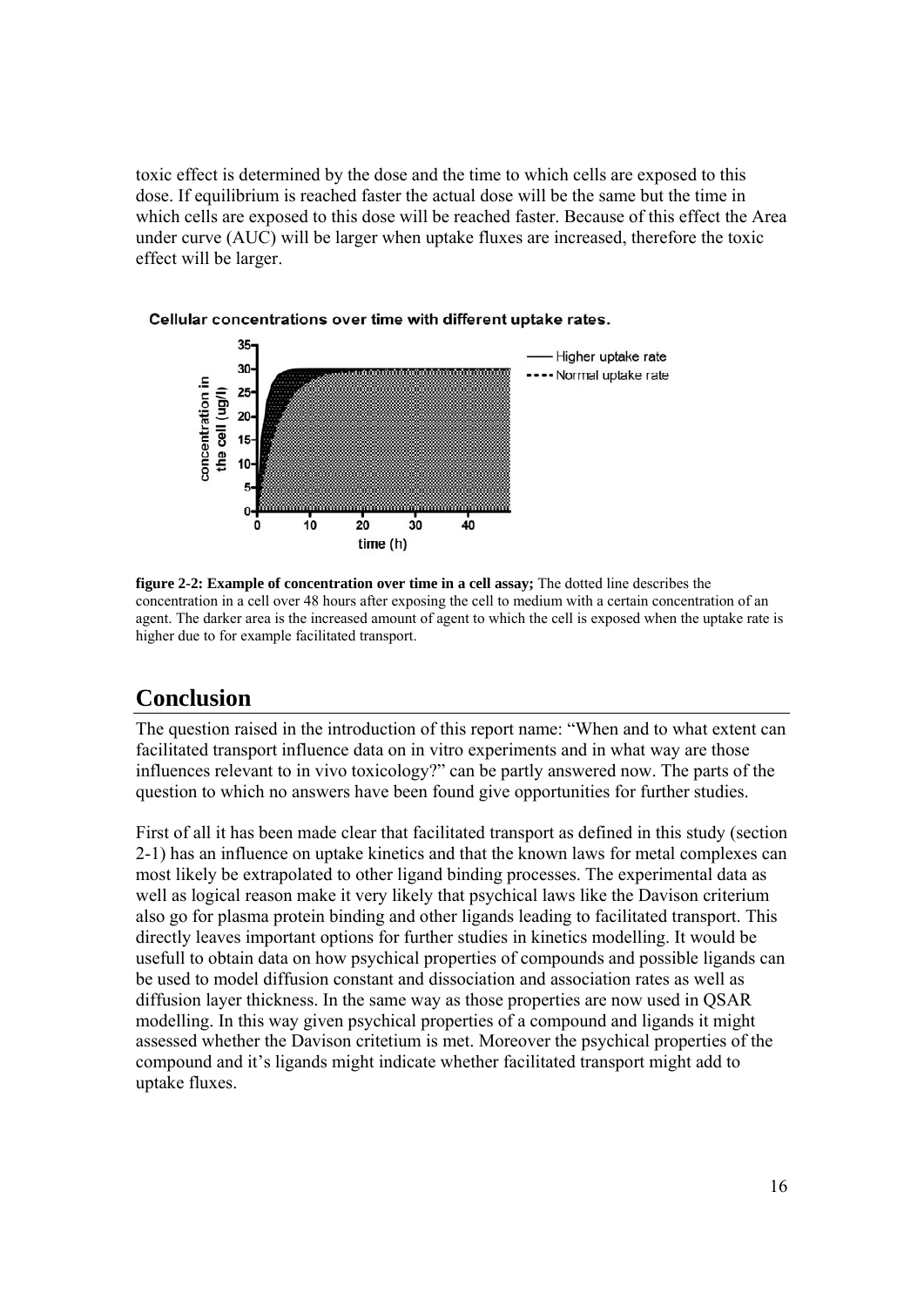toxic effect is determined by the dose and the time to which cells are exposed to this dose. If equilibrium is reached faster the actual dose will be the same but the time in which cells are exposed to this dose will be reached faster. Because of this effect the Area under curve (AUC) will be larger when uptake fluxes are increased, therefore the toxic effect will be larger.



Cellular concentrations over time with different uptake rates.

**figure 2-2: Example of concentration over time in a cell assay;** The dotted line describes the concentration in a cell over 48 hours after exposing the cell to medium with a certain concentration of an agent. The darker area is the increased amount of agent to which the cell is exposed when the uptake rate is higher due to for example facilitated transport.

# **Conclusion**

The question raised in the introduction of this report name: "When and to what extent can facilitated transport influence data on in vitro experiments and in what way are those influences relevant to in vivo toxicology?" can be partly answered now. The parts of the question to which no answers have been found give opportunities for further studies.

First of all it has been made clear that facilitated transport as defined in this study (section 2-1) has an influence on uptake kinetics and that the known laws for metal complexes can most likely be extrapolated to other ligand binding processes. The experimental data as well as logical reason make it very likely that psychical laws like the Davison criterium also go for plasma protein binding and other ligands leading to facilitated transport. This directly leaves important options for further studies in kinetics modelling. It would be usefull to obtain data on how psychical properties of compounds and possible ligands can be used to model diffusion constant and dissociation and association rates as well as diffusion layer thickness. In the same way as those properties are now used in QSAR modelling. In this way given psychical properties of a compound and ligands it might assessed whether the Davison critetium is met. Moreover the psychical properties of the compound and it's ligands might indicate whether facilitated transport might add to uptake fluxes.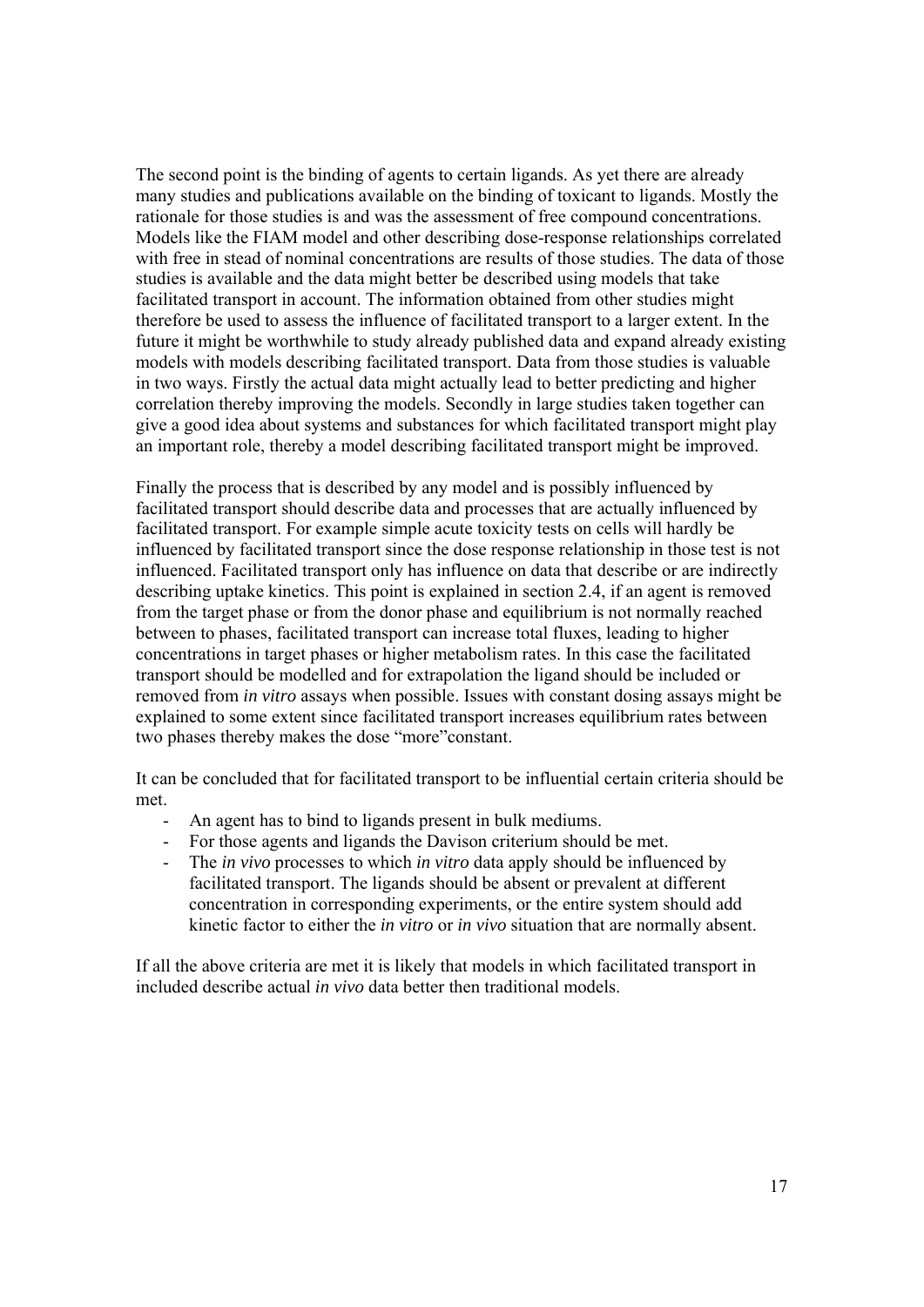The second point is the binding of agents to certain ligands. As yet there are already many studies and publications available on the binding of toxicant to ligands. Mostly the rationale for those studies is and was the assessment of free compound concentrations. Models like the FIAM model and other describing dose-response relationships correlated with free in stead of nominal concentrations are results of those studies. The data of those studies is available and the data might better be described using models that take facilitated transport in account. The information obtained from other studies might therefore be used to assess the influence of facilitated transport to a larger extent. In the future it might be worthwhile to study already published data and expand already existing models with models describing facilitated transport. Data from those studies is valuable in two ways. Firstly the actual data might actually lead to better predicting and higher correlation thereby improving the models. Secondly in large studies taken together can give a good idea about systems and substances for which facilitated transport might play an important role, thereby a model describing facilitated transport might be improved.

Finally the process that is described by any model and is possibly influenced by facilitated transport should describe data and processes that are actually influenced by facilitated transport. For example simple acute toxicity tests on cells will hardly be influenced by facilitated transport since the dose response relationship in those test is not influenced. Facilitated transport only has influence on data that describe or are indirectly describing uptake kinetics. This point is explained in section 2.4, if an agent is removed from the target phase or from the donor phase and equilibrium is not normally reached between to phases, facilitated transport can increase total fluxes, leading to higher concentrations in target phases or higher metabolism rates. In this case the facilitated transport should be modelled and for extrapolation the ligand should be included or removed from *in vitro* assays when possible. Issues with constant dosing assays might be explained to some extent since facilitated transport increases equilibrium rates between two phases thereby makes the dose "more"constant.

It can be concluded that for facilitated transport to be influential certain criteria should be met.

- An agent has to bind to ligands present in bulk mediums.
- For those agents and ligands the Davison criterium should be met.
- The *in vivo* processes to which *in vitro* data apply should be influenced by facilitated transport. The ligands should be absent or prevalent at different concentration in corresponding experiments, or the entire system should add kinetic factor to either the *in vitro* or *in vivo* situation that are normally absent.

If all the above criteria are met it is likely that models in which facilitated transport in included describe actual *in vivo* data better then traditional models.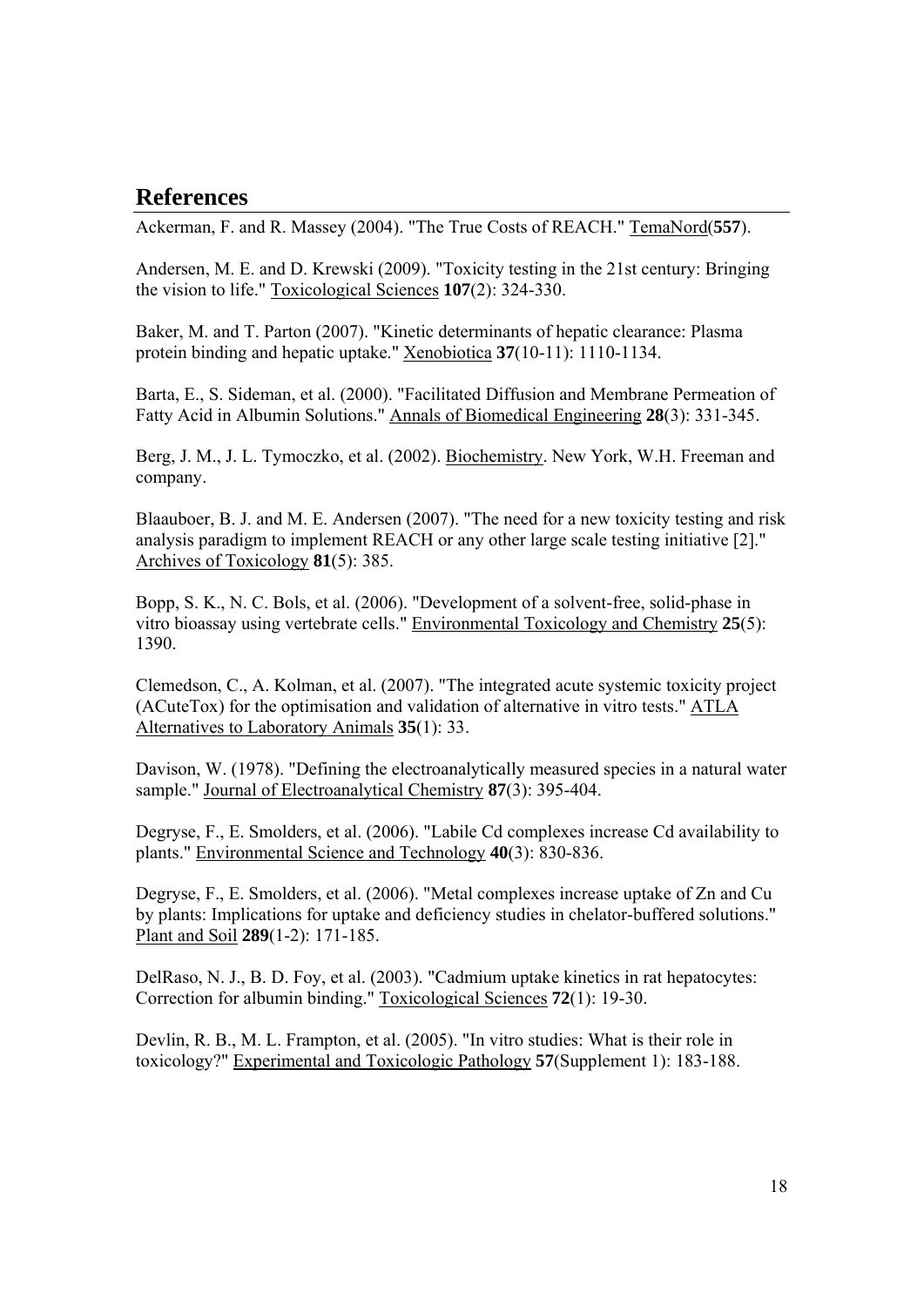## **References**

Ackerman, F. and R. Massey (2004). "The True Costs of REACH." TemaNord(**557**).

Andersen, M. E. and D. Krewski (2009). "Toxicity testing in the 21st century: Bringing the vision to life." Toxicological Sciences **107**(2): 324-330.

Baker, M. and T. Parton (2007). "Kinetic determinants of hepatic clearance: Plasma protein binding and hepatic uptake." Xenobiotica **37**(10-11): 1110-1134.

Barta, E., S. Sideman, et al. (2000). "Facilitated Diffusion and Membrane Permeation of Fatty Acid in Albumin Solutions." Annals of Biomedical Engineering **28**(3): 331-345.

Berg, J. M., J. L. Tymoczko, et al. (2002). Biochemistry. New York, W.H. Freeman and company.

Blaauboer, B. J. and M. E. Andersen (2007). "The need for a new toxicity testing and risk analysis paradigm to implement REACH or any other large scale testing initiative [2]." Archives of Toxicology **81**(5): 385.

Bopp, S. K., N. C. Bols, et al. (2006). "Development of a solvent-free, solid-phase in vitro bioassay using vertebrate cells." Environmental Toxicology and Chemistry **25**(5): 1390.

Clemedson, C., A. Kolman, et al. (2007). "The integrated acute systemic toxicity project (ACuteTox) for the optimisation and validation of alternative in vitro tests." ATLA Alternatives to Laboratory Animals **35**(1): 33.

Davison, W. (1978). "Defining the electroanalytically measured species in a natural water sample." Journal of Electroanalytical Chemistry **87**(3): 395-404.

Degryse, F., E. Smolders, et al. (2006). "Labile Cd complexes increase Cd availability to plants." Environmental Science and Technology **40**(3): 830-836.

Degryse, F., E. Smolders, et al. (2006). "Metal complexes increase uptake of Zn and Cu by plants: Implications for uptake and deficiency studies in chelator-buffered solutions." Plant and Soil **289**(1-2): 171-185.

DelRaso, N. J., B. D. Foy, et al. (2003). "Cadmium uptake kinetics in rat hepatocytes: Correction for albumin binding." Toxicological Sciences **72**(1): 19-30.

Devlin, R. B., M. L. Frampton, et al. (2005). "In vitro studies: What is their role in toxicology?" Experimental and Toxicologic Pathology **57**(Supplement 1): 183-188.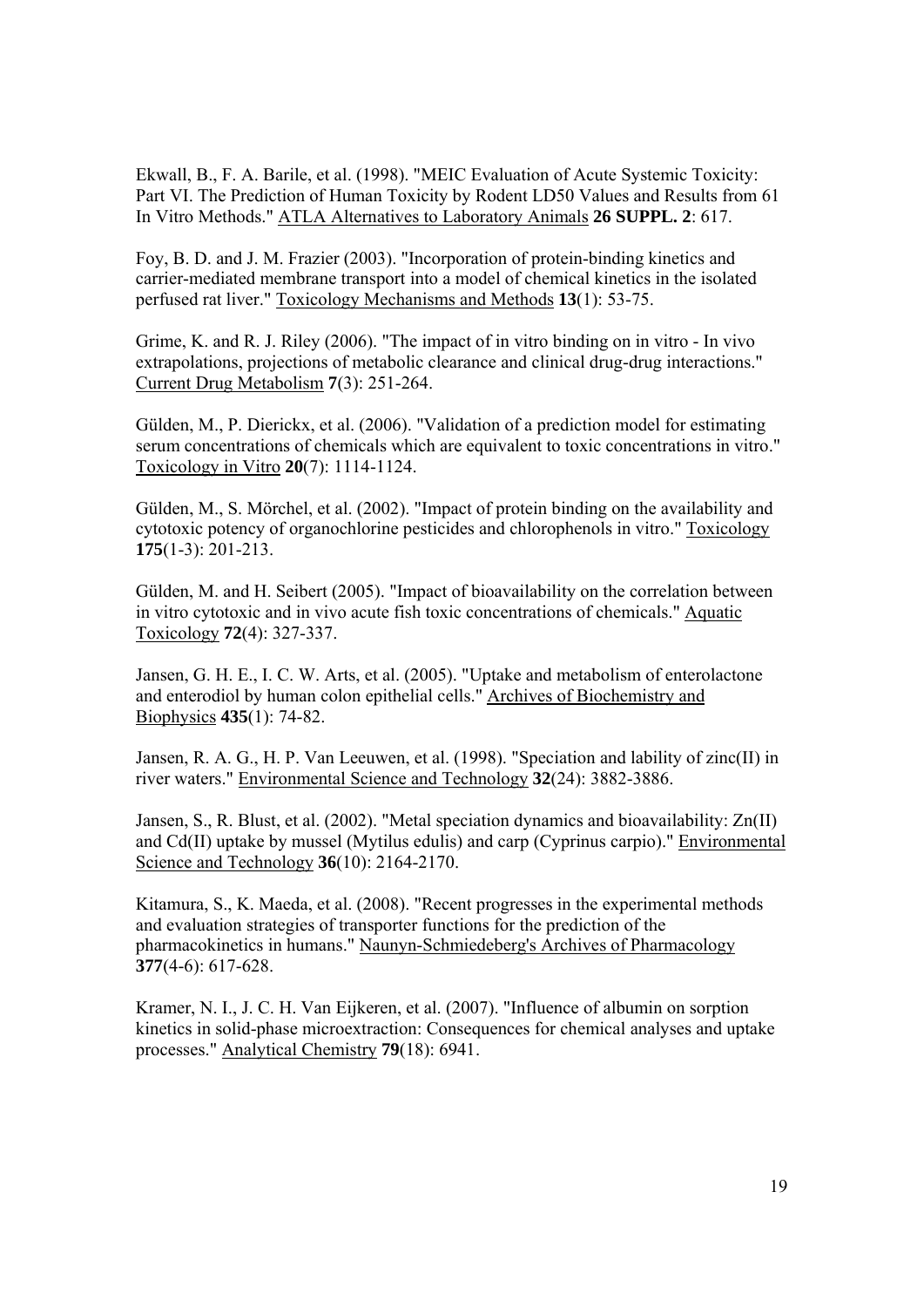Ekwall, B., F. A. Barile, et al. (1998). "MEIC Evaluation of Acute Systemic Toxicity: Part VI. The Prediction of Human Toxicity by Rodent LD50 Values and Results from 61 In Vitro Methods." ATLA Alternatives to Laboratory Animals **26 SUPPL. 2**: 617.

Foy, B. D. and J. M. Frazier (2003). "Incorporation of protein-binding kinetics and carrier-mediated membrane transport into a model of chemical kinetics in the isolated perfused rat liver." Toxicology Mechanisms and Methods **13**(1): 53-75.

Grime, K. and R. J. Riley (2006). "The impact of in vitro binding on in vitro - In vivo extrapolations, projections of metabolic clearance and clinical drug-drug interactions." Current Drug Metabolism **7**(3): 251-264.

Gülden, M., P. Dierickx, et al. (2006). "Validation of a prediction model for estimating serum concentrations of chemicals which are equivalent to toxic concentrations in vitro." Toxicology in Vitro **20**(7): 1114-1124.

Gülden, M., S. Mörchel, et al. (2002). "Impact of protein binding on the availability and cytotoxic potency of organochlorine pesticides and chlorophenols in vitro." Toxicology **175**(1-3): 201-213.

Gülden, M. and H. Seibert (2005). "Impact of bioavailability on the correlation between in vitro cytotoxic and in vivo acute fish toxic concentrations of chemicals." Aquatic Toxicology **72**(4): 327-337.

Jansen, G. H. E., I. C. W. Arts, et al. (2005). "Uptake and metabolism of enterolactone and enterodiol by human colon epithelial cells." Archives of Biochemistry and Biophysics **435**(1): 74-82.

Jansen, R. A. G., H. P. Van Leeuwen, et al. (1998). "Speciation and lability of zinc(II) in river waters." Environmental Science and Technology **32**(24): 3882-3886.

Jansen, S., R. Blust, et al. (2002). "Metal speciation dynamics and bioavailability: Zn(II) and Cd(II) uptake by mussel (Mytilus edulis) and carp (Cyprinus carpio)." Environmental Science and Technology **36**(10): 2164-2170.

Kitamura, S., K. Maeda, et al. (2008). "Recent progresses in the experimental methods and evaluation strategies of transporter functions for the prediction of the pharmacokinetics in humans." Naunyn-Schmiedeberg's Archives of Pharmacology **377**(4-6): 617-628.

Kramer, N. I., J. C. H. Van Eijkeren, et al. (2007). "Influence of albumin on sorption kinetics in solid-phase microextraction: Consequences for chemical analyses and uptake processes." Analytical Chemistry **79**(18): 6941.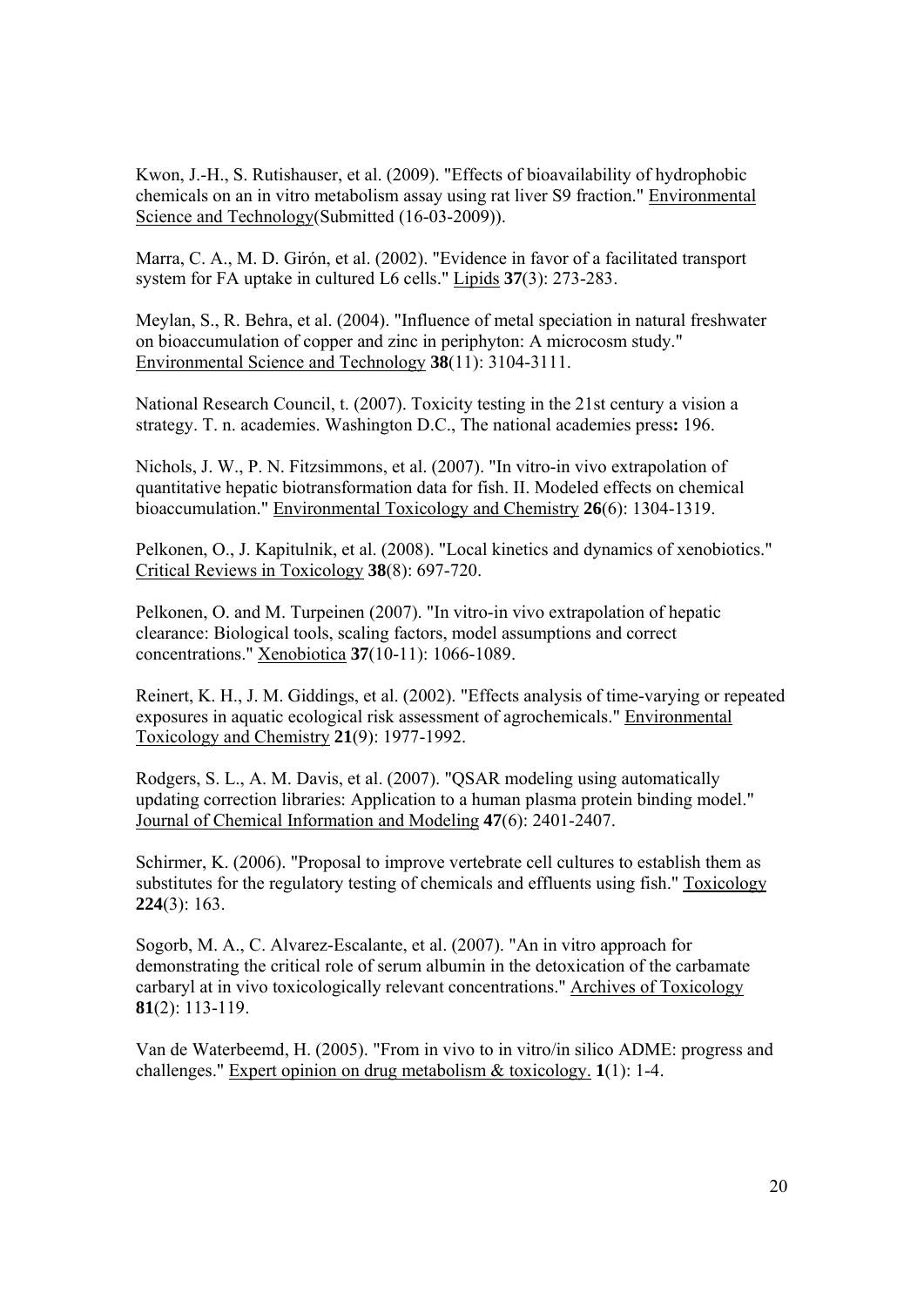Kwon, J.-H., S. Rutishauser, et al. (2009). "Effects of bioavailability of hydrophobic chemicals on an in vitro metabolism assay using rat liver S9 fraction." Environmental Science and Technology(Submitted (16-03-2009)).

Marra, C. A., M. D. Girón, et al. (2002). "Evidence in favor of a facilitated transport system for FA uptake in cultured L6 cells." Lipids **37**(3): 273-283.

Meylan, S., R. Behra, et al. (2004). "Influence of metal speciation in natural freshwater on bioaccumulation of copper and zinc in periphyton: A microcosm study." Environmental Science and Technology **38**(11): 3104-3111.

National Research Council, t. (2007). Toxicity testing in the 21st century a vision a strategy. T. n. academies. Washington D.C., The national academies press**:** 196.

Nichols, J. W., P. N. Fitzsimmons, et al. (2007). "In vitro-in vivo extrapolation of quantitative hepatic biotransformation data for fish. II. Modeled effects on chemical bioaccumulation." Environmental Toxicology and Chemistry **26**(6): 1304-1319.

Pelkonen, O., J. Kapitulnik, et al. (2008). "Local kinetics and dynamics of xenobiotics." Critical Reviews in Toxicology **38**(8): 697-720.

Pelkonen, O. and M. Turpeinen (2007). "In vitro-in vivo extrapolation of hepatic clearance: Biological tools, scaling factors, model assumptions and correct concentrations." Xenobiotica **37**(10-11): 1066-1089.

Reinert, K. H., J. M. Giddings, et al. (2002). "Effects analysis of time-varying or repeated exposures in aquatic ecological risk assessment of agrochemicals." Environmental Toxicology and Chemistry **21**(9): 1977-1992.

Rodgers, S. L., A. M. Davis, et al. (2007). "QSAR modeling using automatically updating correction libraries: Application to a human plasma protein binding model." Journal of Chemical Information and Modeling **47**(6): 2401-2407.

Schirmer, K. (2006). "Proposal to improve vertebrate cell cultures to establish them as substitutes for the regulatory testing of chemicals and effluents using fish." Toxicology **224**(3): 163.

Sogorb, M. A., C. Alvarez-Escalante, et al. (2007). "An in vitro approach for demonstrating the critical role of serum albumin in the detoxication of the carbamate carbaryl at in vivo toxicologically relevant concentrations." Archives of Toxicology **81**(2): 113-119.

Van de Waterbeemd, H. (2005). "From in vivo to in vitro/in silico ADME: progress and challenges." Expert opinion on drug metabolism & toxicology. **1**(1): 1-4.